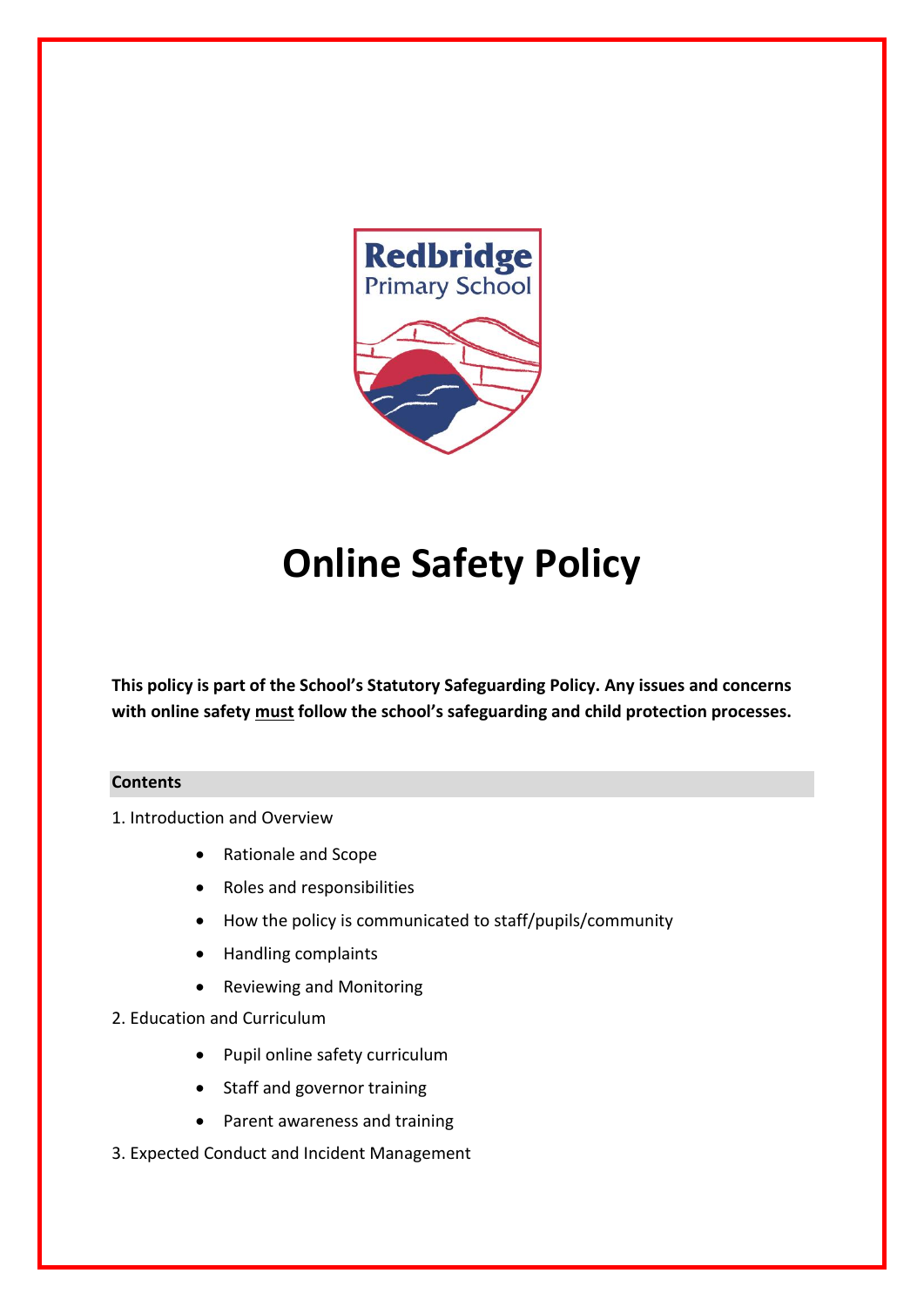

# **Online Safety Policy**

**This policy is part of the School's Statutory Safeguarding Policy. Any issues and concerns with online safety must follow the school's safeguarding and child protection processes.**

#### **Contents**

1. Introduction and Overview

- Rationale and Scope
- Roles and responsibilities
- How the policy is communicated to staff/pupils/community
- Handling complaints
- Reviewing and Monitoring
- 2. Education and Curriculum
	- Pupil online safety curriculum
	- Staff and governor training
	- Parent awareness and training
- 3. Expected Conduct and Incident Management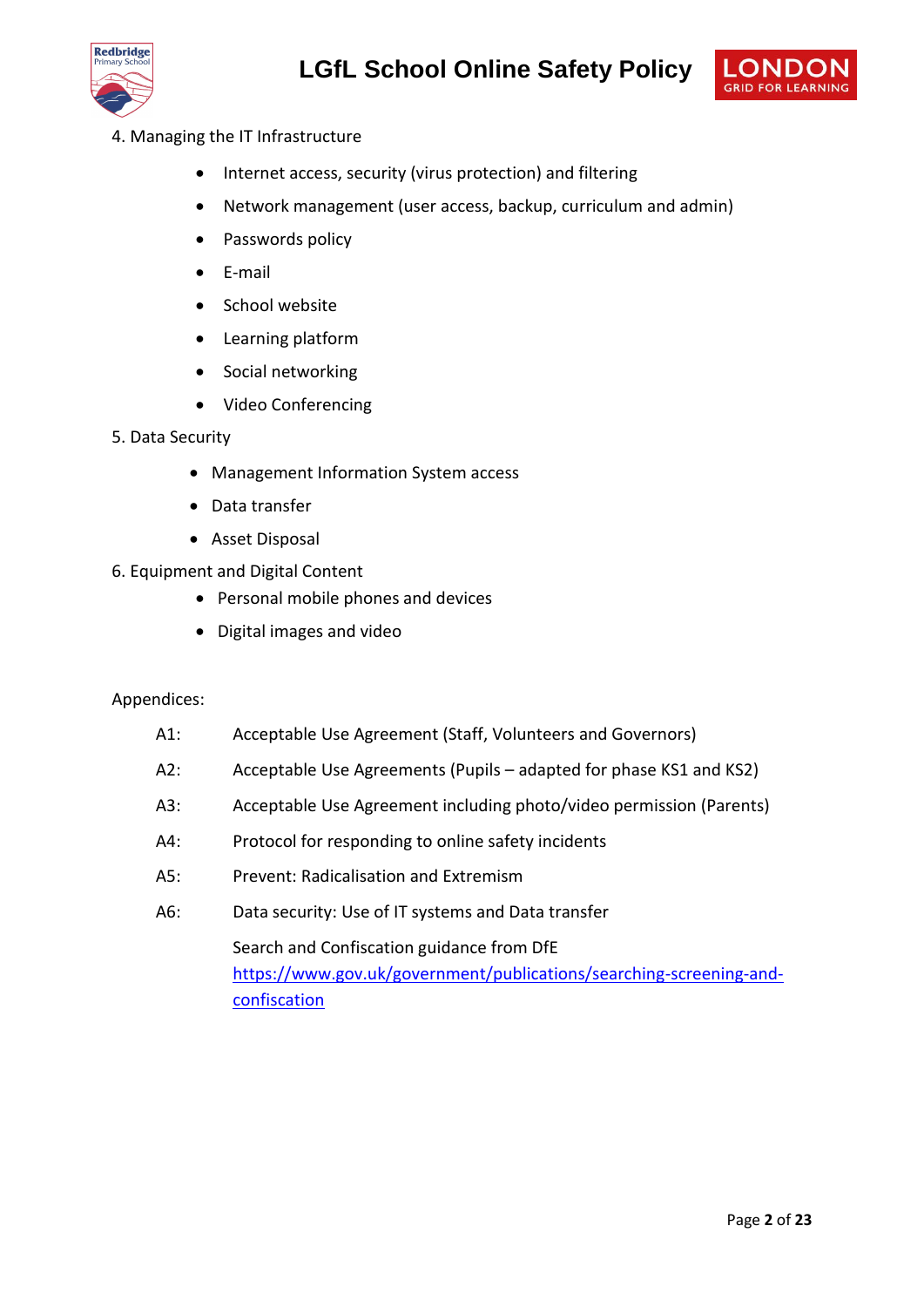



- 4. Managing the IT Infrastructure
	- Internet access, security (virus protection) and filtering
	- Network management (user access, backup, curriculum and admin)
	- Passwords policy
	- E-mail
	- School website
	- Learning platform
	- Social networking
	- Video Conferencing
- 5. Data Security
	- Management Information System access
	- Data transfer
	- Asset Disposal
- 6. Equipment and Digital Content
	- Personal mobile phones and devices
	- Digital images and video

#### Appendices:

- A1: Acceptable Use Agreement (Staff, Volunteers and Governors)
- A2: Acceptable Use Agreements (Pupils adapted for phase KS1 and KS2)
- A3: Acceptable Use Agreement including photo/video permission (Parents)
- A4: Protocol for responding to online safety incidents
- A5: Prevent: Radicalisation and Extremism
- A6: Data security: Use of IT systems and Data transfer

Search and Confiscation guidance from DfE [https://www.gov.uk/government/publications/searching-screening-and](https://www.gov.uk/government/publications/searching-screening-and-confiscation)[confiscation](https://www.gov.uk/government/publications/searching-screening-and-confiscation)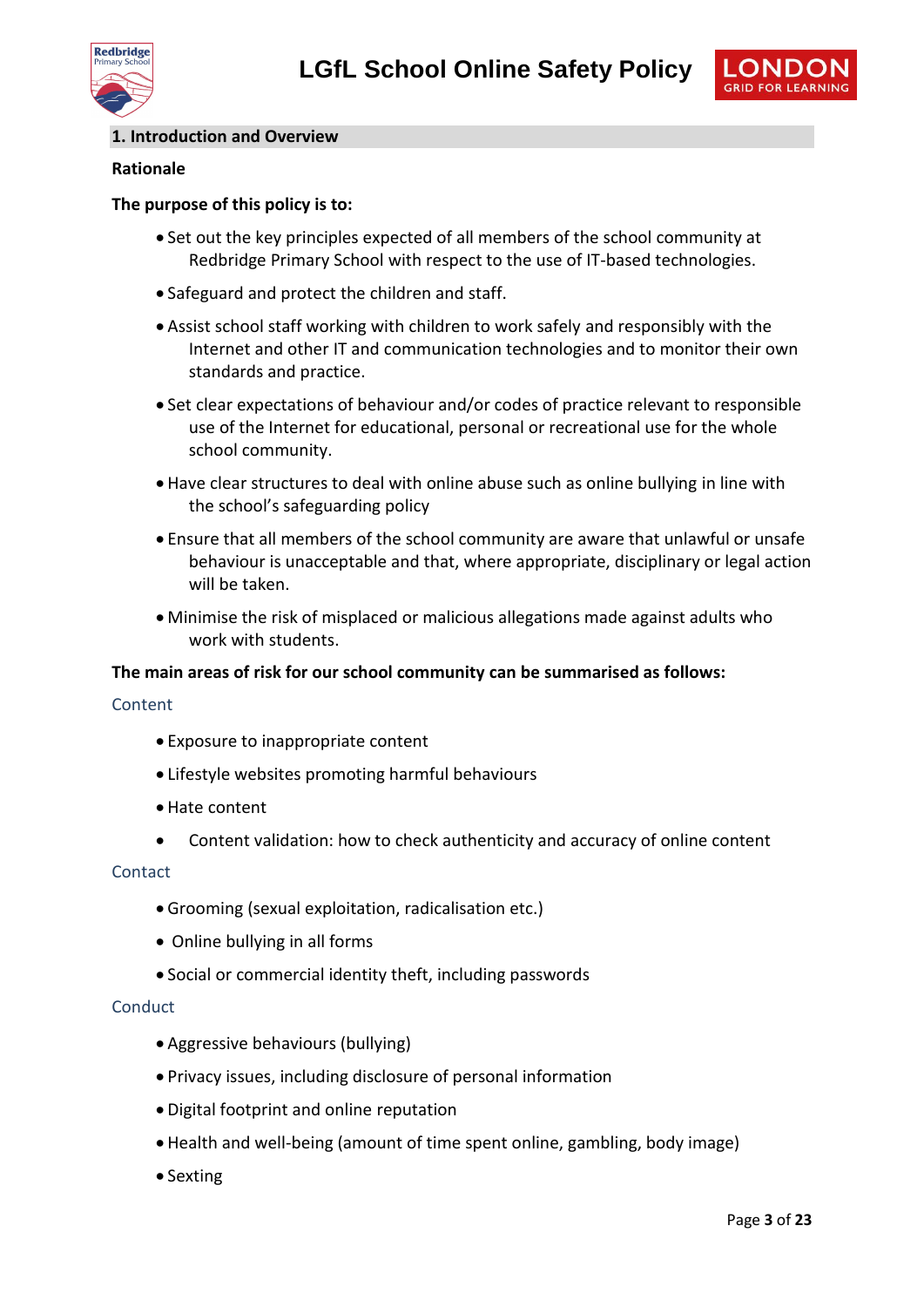



#### **1. Introduction and Overview**

#### **Rationale**

#### **The purpose of this policy is to:**

- Set out the key principles expected of all members of the school community at Redbridge Primary School with respect to the use of IT-based technologies.
- Safeguard and protect the children and staff.
- Assist school staff working with children to work safely and responsibly with the Internet and other IT and communication technologies and to monitor their own standards and practice.
- Set clear expectations of behaviour and/or codes of practice relevant to responsible use of the Internet for educational, personal or recreational use for the whole school community.
- Have clear structures to deal with online abuse such as online bullying in line with the school's safeguarding policy
- Ensure that all members of the school community are aware that unlawful or unsafe behaviour is unacceptable and that, where appropriate, disciplinary or legal action will be taken.
- Minimise the risk of misplaced or malicious allegations made against adults who work with students.

#### **The main areas of risk for our school community can be summarised as follows:**

#### Content

- Exposure to inappropriate content
- Lifestyle websites promoting harmful behaviours
- Hate content
- Content validation: how to check authenticity and accuracy of online content

#### Contact

- Grooming (sexual exploitation, radicalisation etc.)
- Online bullying in all forms
- Social or commercial identity theft, including passwords

#### **Conduct**

- Aggressive behaviours (bullying)
- Privacy issues, including disclosure of personal information
- Digital footprint and online reputation
- Health and well-being (amount of time spent online, gambling, body image)
- Sexting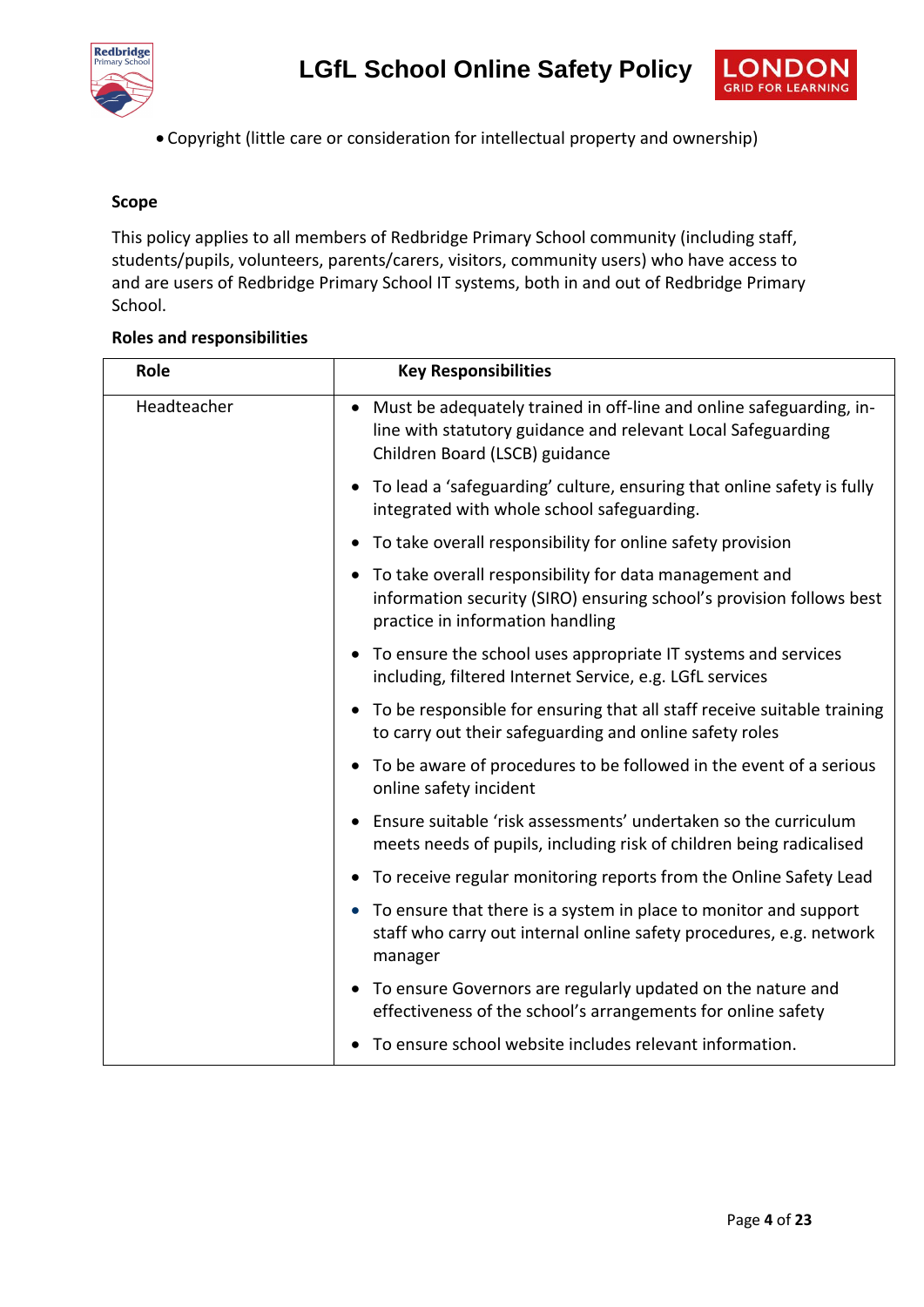



Copyright (little care or consideration for intellectual property and ownership)

#### **Scope**

This policy applies to all members of Redbridge Primary School community (including staff, students/pupils, volunteers, parents/carers, visitors, community users) who have access to and are users of Redbridge Primary School IT systems, both in and out of Redbridge Primary School.

#### **Roles and responsibilities**

| Role        | <b>Key Responsibilities</b>                                                                                                                                           |
|-------------|-----------------------------------------------------------------------------------------------------------------------------------------------------------------------|
| Headteacher | Must be adequately trained in off-line and online safeguarding, in-<br>line with statutory guidance and relevant Local Safeguarding<br>Children Board (LSCB) guidance |
|             | To lead a 'safeguarding' culture, ensuring that online safety is fully<br>integrated with whole school safeguarding.                                                  |
|             | To take overall responsibility for online safety provision                                                                                                            |
|             | To take overall responsibility for data management and<br>information security (SIRO) ensuring school's provision follows best<br>practice in information handling    |
|             | To ensure the school uses appropriate IT systems and services<br>including, filtered Internet Service, e.g. LGfL services                                             |
|             | To be responsible for ensuring that all staff receive suitable training<br>to carry out their safeguarding and online safety roles                                    |
|             | To be aware of procedures to be followed in the event of a serious<br>online safety incident                                                                          |
|             | Ensure suitable 'risk assessments' undertaken so the curriculum<br>meets needs of pupils, including risk of children being radicalised                                |
|             | To receive regular monitoring reports from the Online Safety Lead                                                                                                     |
|             | To ensure that there is a system in place to monitor and support<br>staff who carry out internal online safety procedures, e.g. network<br>manager                    |
|             | To ensure Governors are regularly updated on the nature and<br>effectiveness of the school's arrangements for online safety                                           |
|             | To ensure school website includes relevant information.                                                                                                               |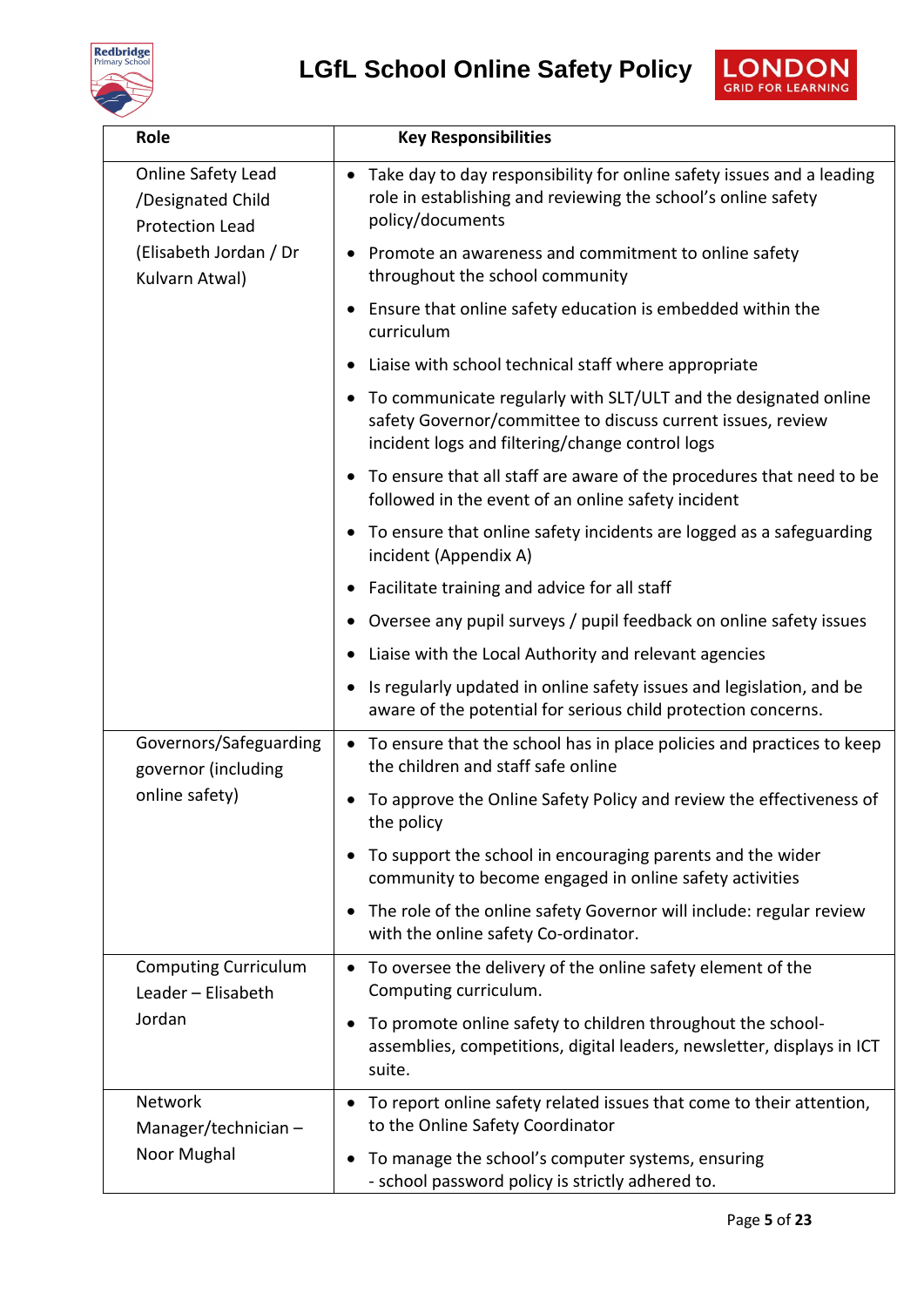





| Role                                                              | <b>Key Responsibilities</b>                                                                                                                                                                    |
|-------------------------------------------------------------------|------------------------------------------------------------------------------------------------------------------------------------------------------------------------------------------------|
| Online Safety Lead<br>/Designated Child<br><b>Protection Lead</b> | Take day to day responsibility for online safety issues and a leading<br>$\bullet$<br>role in establishing and reviewing the school's online safety<br>policy/documents                        |
| (Elisabeth Jordan / Dr<br>Kulvarn Atwal)                          | • Promote an awareness and commitment to online safety<br>throughout the school community                                                                                                      |
|                                                                   | • Ensure that online safety education is embedded within the<br>curriculum                                                                                                                     |
|                                                                   | Liaise with school technical staff where appropriate<br>$\bullet$                                                                                                                              |
|                                                                   | To communicate regularly with SLT/ULT and the designated online<br>$\bullet$<br>safety Governor/committee to discuss current issues, review<br>incident logs and filtering/change control logs |
|                                                                   | To ensure that all staff are aware of the procedures that need to be<br>$\bullet$<br>followed in the event of an online safety incident                                                        |
|                                                                   | To ensure that online safety incidents are logged as a safeguarding<br>$\bullet$<br>incident (Appendix A)                                                                                      |
|                                                                   | Facilitate training and advice for all staff<br>$\bullet$                                                                                                                                      |
|                                                                   | Oversee any pupil surveys / pupil feedback on online safety issues                                                                                                                             |
|                                                                   | Liaise with the Local Authority and relevant agencies<br>$\bullet$                                                                                                                             |
|                                                                   | Is regularly updated in online safety issues and legislation, and be<br>$\bullet$<br>aware of the potential for serious child protection concerns.                                             |
| Governors/Safeguarding<br>governor (including                     | To ensure that the school has in place policies and practices to keep<br>$\bullet$<br>the children and staff safe online                                                                       |
| online safety)                                                    | To approve the Online Safety Policy and review the effectiveness of<br>the policy                                                                                                              |
|                                                                   | To support the school in encouraging parents and the wider<br>$\bullet$<br>community to become engaged in online safety activities                                                             |
|                                                                   | The role of the online safety Governor will include: regular review<br>$\bullet$<br>with the online safety Co-ordinator.                                                                       |
| <b>Computing Curriculum</b><br>Leader - Elisabeth                 | To oversee the delivery of the online safety element of the<br>$\bullet$<br>Computing curriculum.                                                                                              |
| Jordan                                                            | To promote online safety to children throughout the school-<br>$\bullet$<br>assemblies, competitions, digital leaders, newsletter, displays in ICT<br>suite.                                   |
| Network<br>Manager/technician $-$                                 | To report online safety related issues that come to their attention,<br>to the Online Safety Coordinator                                                                                       |
| Noor Mughal                                                       | To manage the school's computer systems, ensuring<br>- school password policy is strictly adhered to.                                                                                          |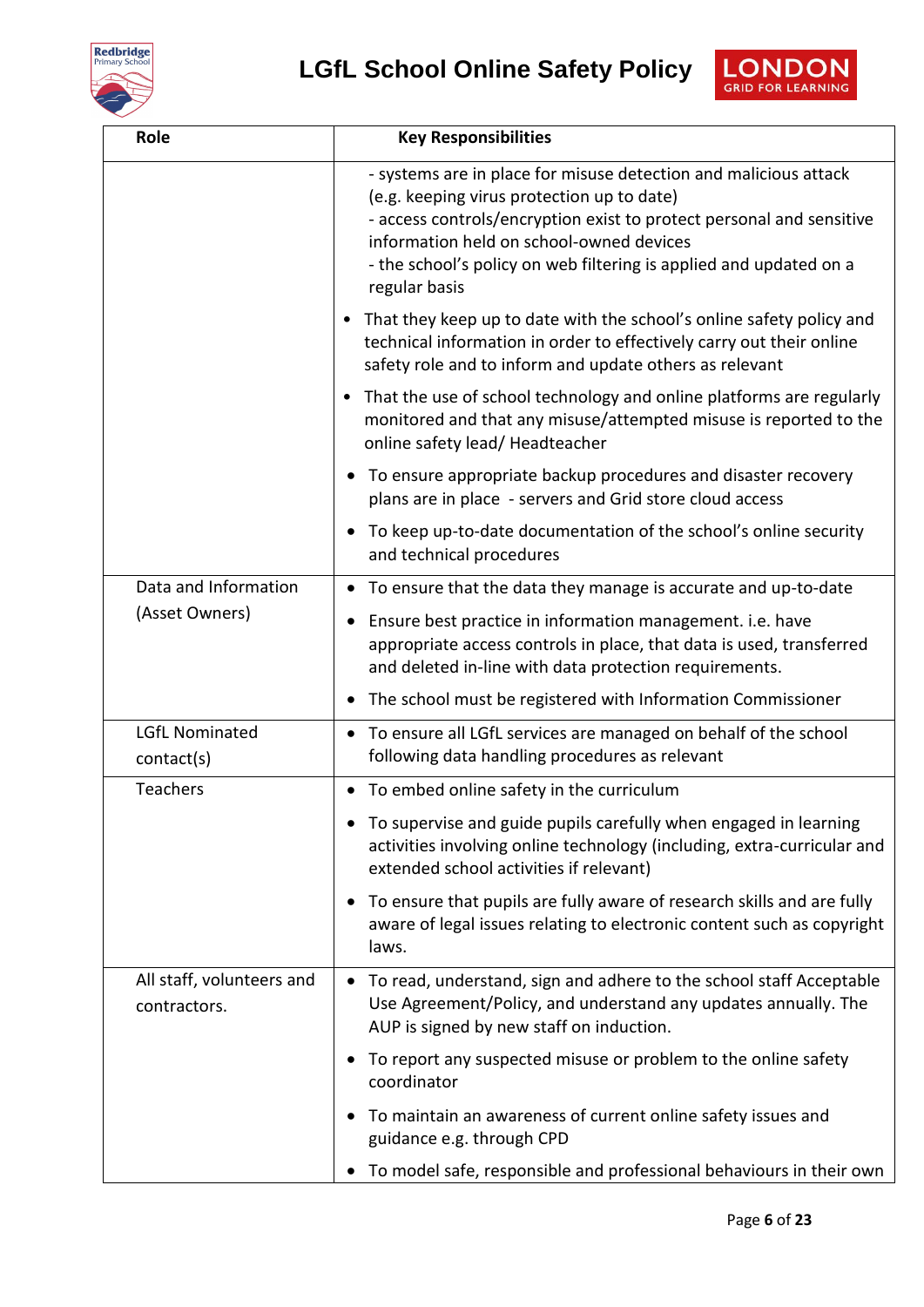



| Role                                      | <b>Key Responsibilities</b>                                                                                                                                                                                                                                                                                               |
|-------------------------------------------|---------------------------------------------------------------------------------------------------------------------------------------------------------------------------------------------------------------------------------------------------------------------------------------------------------------------------|
|                                           | - systems are in place for misuse detection and malicious attack<br>(e.g. keeping virus protection up to date)<br>- access controls/encryption exist to protect personal and sensitive<br>information held on school-owned devices<br>- the school's policy on web filtering is applied and updated on a<br>regular basis |
|                                           | • That they keep up to date with the school's online safety policy and<br>technical information in order to effectively carry out their online<br>safety role and to inform and update others as relevant                                                                                                                 |
|                                           | That the use of school technology and online platforms are regularly<br>٠<br>monitored and that any misuse/attempted misuse is reported to the<br>online safety lead/ Headteacher                                                                                                                                         |
|                                           | • To ensure appropriate backup procedures and disaster recovery<br>plans are in place - servers and Grid store cloud access                                                                                                                                                                                               |
|                                           | To keep up-to-date documentation of the school's online security<br>and technical procedures                                                                                                                                                                                                                              |
| Data and Information                      | To ensure that the data they manage is accurate and up-to-date<br>$\bullet$                                                                                                                                                                                                                                               |
| (Asset Owners)                            | Ensure best practice in information management. i.e. have<br>$\bullet$<br>appropriate access controls in place, that data is used, transferred<br>and deleted in-line with data protection requirements.                                                                                                                  |
|                                           | The school must be registered with Information Commissioner                                                                                                                                                                                                                                                               |
| <b>LGfL Nominated</b><br>contact(s)       | • To ensure all LGfL services are managed on behalf of the school<br>following data handling procedures as relevant                                                                                                                                                                                                       |
| Teachers                                  | • To embed online safety in the curriculum                                                                                                                                                                                                                                                                                |
|                                           | To supervise and guide pupils carefully when engaged in learning<br>activities involving online technology (including, extra-curricular and<br>extended school activities if relevant)                                                                                                                                    |
|                                           | To ensure that pupils are fully aware of research skills and are fully<br>$\bullet$<br>aware of legal issues relating to electronic content such as copyright<br>laws.                                                                                                                                                    |
| All staff, volunteers and<br>contractors. | To read, understand, sign and adhere to the school staff Acceptable<br>$\bullet$<br>Use Agreement/Policy, and understand any updates annually. The<br>AUP is signed by new staff on induction.                                                                                                                            |
|                                           | To report any suspected misuse or problem to the online safety<br>coordinator                                                                                                                                                                                                                                             |
|                                           | To maintain an awareness of current online safety issues and<br>guidance e.g. through CPD                                                                                                                                                                                                                                 |
|                                           | To model safe, responsible and professional behaviours in their own                                                                                                                                                                                                                                                       |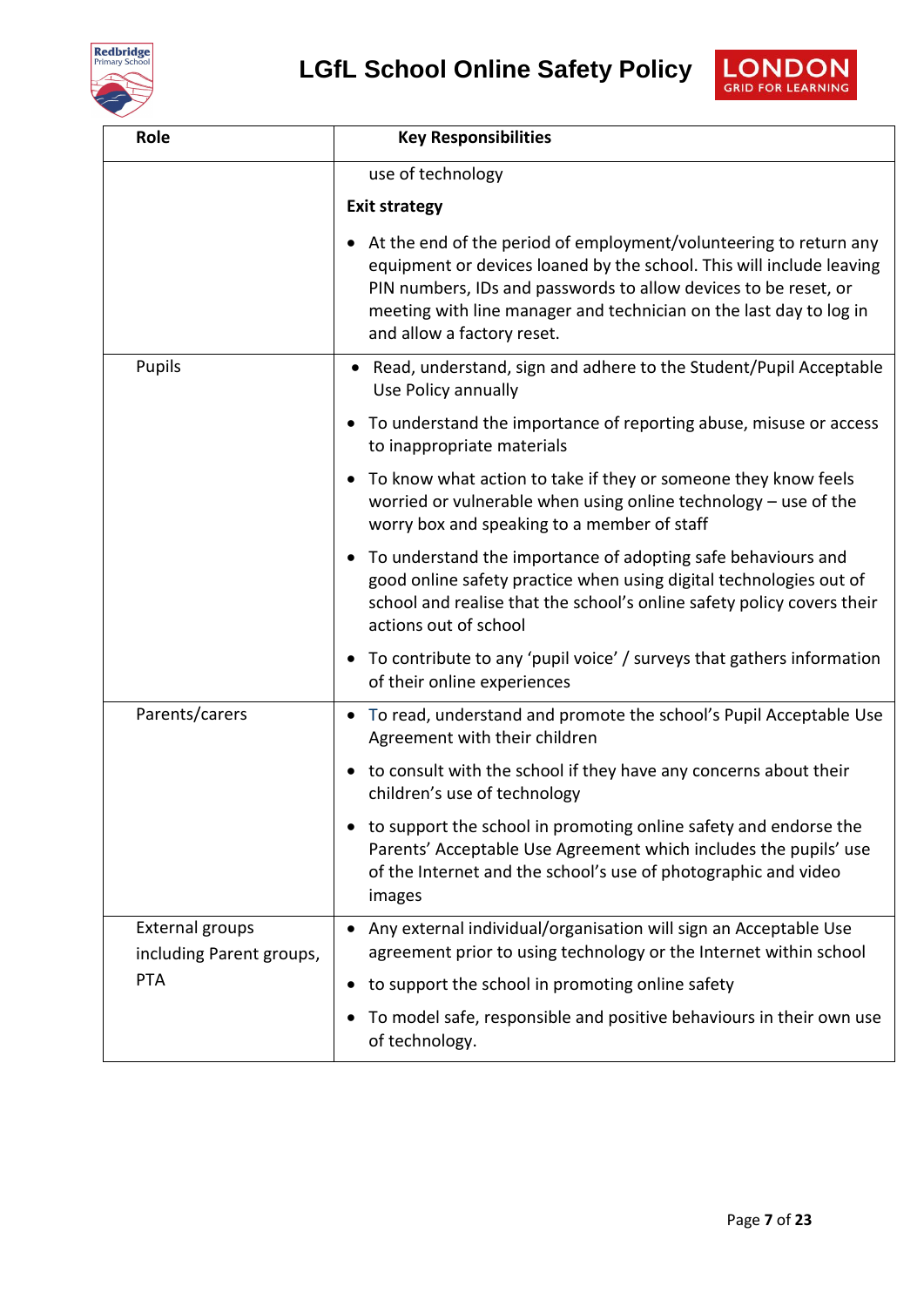



| Role                                               | <b>Key Responsibilities</b>                                                                                                                                                                                                                                                                                      |
|----------------------------------------------------|------------------------------------------------------------------------------------------------------------------------------------------------------------------------------------------------------------------------------------------------------------------------------------------------------------------|
|                                                    | use of technology                                                                                                                                                                                                                                                                                                |
|                                                    | <b>Exit strategy</b>                                                                                                                                                                                                                                                                                             |
|                                                    | At the end of the period of employment/volunteering to return any<br>equipment or devices loaned by the school. This will include leaving<br>PIN numbers, IDs and passwords to allow devices to be reset, or<br>meeting with line manager and technician on the last day to log in<br>and allow a factory reset. |
| Pupils                                             | • Read, understand, sign and adhere to the Student/Pupil Acceptable<br>Use Policy annually                                                                                                                                                                                                                       |
|                                                    | • To understand the importance of reporting abuse, misuse or access<br>to inappropriate materials                                                                                                                                                                                                                |
|                                                    | • To know what action to take if they or someone they know feels<br>worried or vulnerable when using online technology - use of the<br>worry box and speaking to a member of staff                                                                                                                               |
|                                                    | To understand the importance of adopting safe behaviours and<br>$\bullet$<br>good online safety practice when using digital technologies out of<br>school and realise that the school's online safety policy covers their<br>actions out of school                                                               |
|                                                    | • To contribute to any 'pupil voice' / surveys that gathers information<br>of their online experiences                                                                                                                                                                                                           |
| Parents/carers                                     | • To read, understand and promote the school's Pupil Acceptable Use<br>Agreement with their children                                                                                                                                                                                                             |
|                                                    | • to consult with the school if they have any concerns about their<br>children's use of technology                                                                                                                                                                                                               |
|                                                    | • to support the school in promoting online safety and endorse the<br>Parents' Acceptable Use Agreement which includes the pupils' use<br>of the Internet and the school's use of photographic and video<br>images                                                                                               |
| <b>External groups</b><br>including Parent groups, | Any external individual/organisation will sign an Acceptable Use<br>agreement prior to using technology or the Internet within school                                                                                                                                                                            |
| <b>PTA</b>                                         | to support the school in promoting online safety<br>$\bullet$                                                                                                                                                                                                                                                    |
|                                                    | To model safe, responsible and positive behaviours in their own use<br>of technology.                                                                                                                                                                                                                            |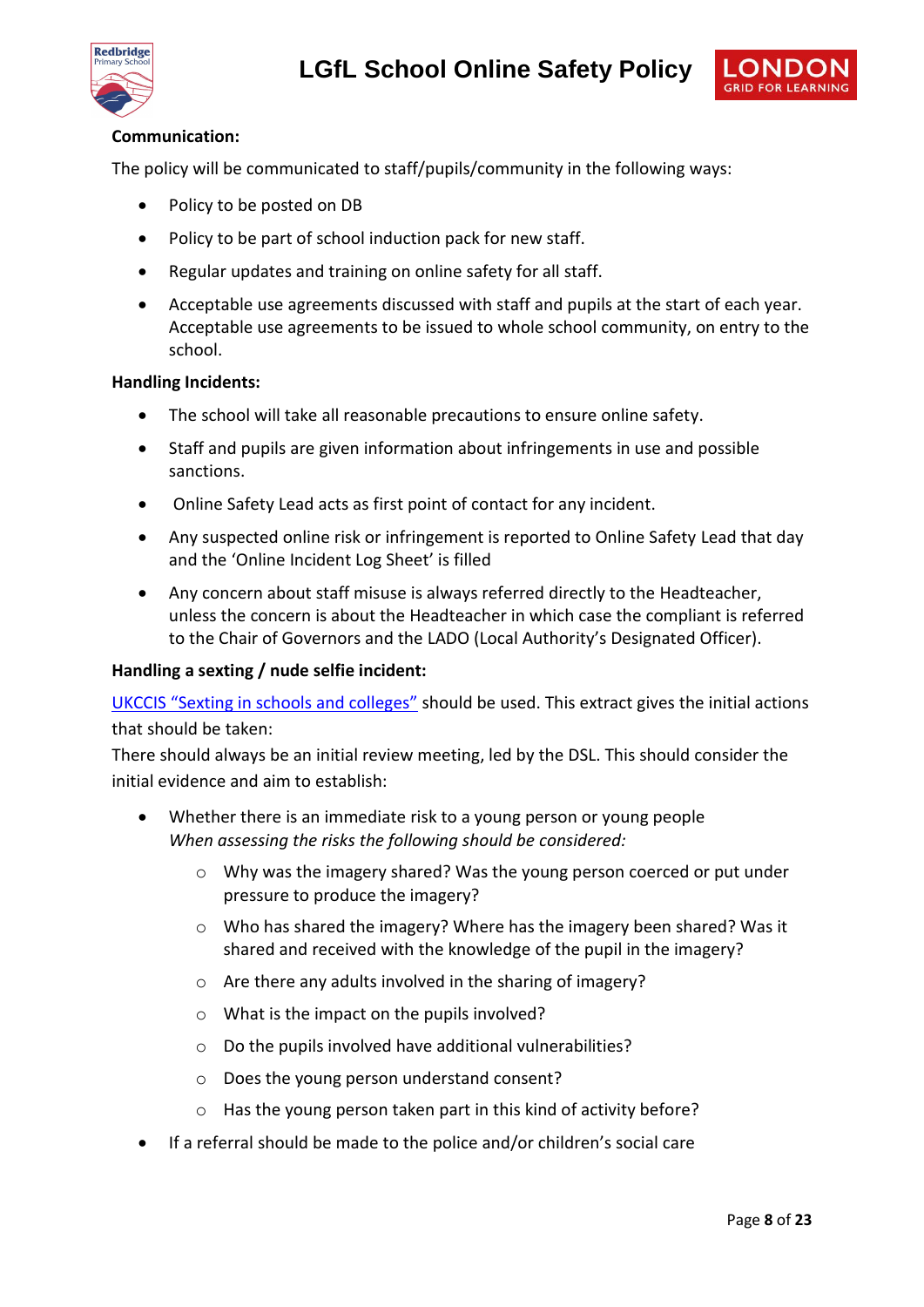



#### **Communication:**

The policy will be communicated to staff/pupils/community in the following ways:

- Policy to be posted on DB
- Policy to be part of school induction pack for new staff.
- Regular updates and training on online safety for all staff.
- Acceptable use agreements discussed with staff and pupils at the start of each year. Acceptable use agreements to be issued to whole school community, on entry to the school.

#### **Handling Incidents:**

- The school will take all reasonable precautions to ensure online safety.
- Staff and pupils are given information about infringements in use and possible sanctions.
- Online Safety Lead acts as first point of contact for any incident.
- Any suspected online risk or infringement is reported to Online Safety Lead that day and the 'Online Incident Log Sheet' is filled
- Any concern about staff misuse is always referred directly to the Headteacher, unless the concern is about the Headteacher in which case the compliant is referred to the Chair of Governors and the LADO (Local Authority's Designated Officer).

#### **Handling a sexting / nude selfie incident:**

[UKCCIS "Sexting in schools and colleges"](http://sexting.lgfl.net/) should be used. This extract gives the initial actions that should be taken:

There should always be an initial review meeting, led by the DSL. This should consider the initial evidence and aim to establish:

- Whether there is an immediate risk to a young person or young people *When assessing the risks the following should be considered:* 
	- o Why was the imagery shared? Was the young person coerced or put under pressure to produce the imagery?
	- $\circ$  Who has shared the imagery? Where has the imagery been shared? Was it shared and received with the knowledge of the pupil in the imagery?
	- o Are there any adults involved in the sharing of imagery?
	- o What is the impact on the pupils involved?
	- o Do the pupils involved have additional vulnerabilities?
	- o Does the young person understand consent?
	- o Has the young person taken part in this kind of activity before?
- If a referral should be made to the police and/or children's social care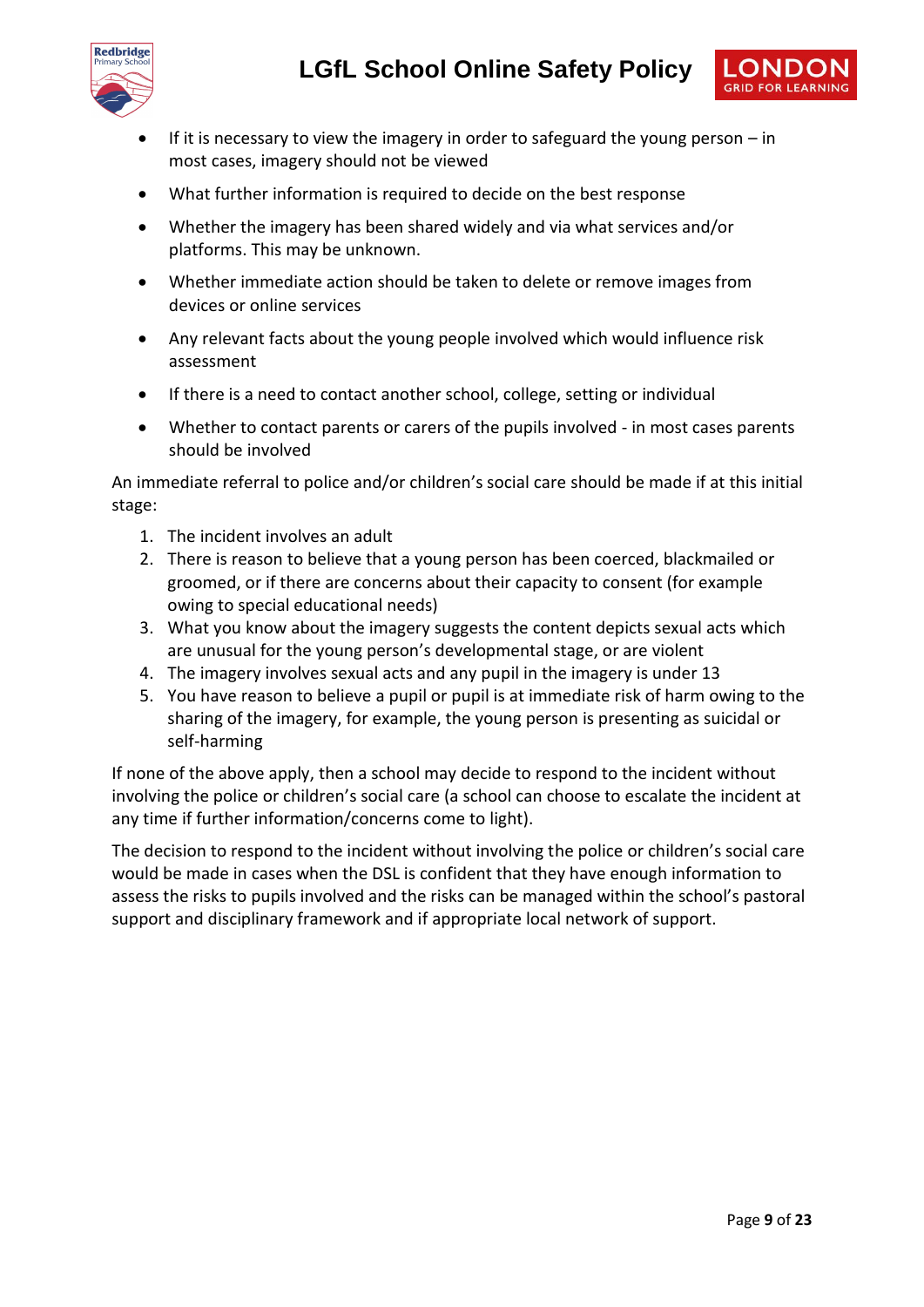



- If it is necessary to view the imagery in order to safeguard the young person in most cases, imagery should not be viewed
- What further information is required to decide on the best response
- Whether the imagery has been shared widely and via what services and/or platforms. This may be unknown.
- Whether immediate action should be taken to delete or remove images from devices or online services
- Any relevant facts about the young people involved which would influence risk assessment
- If there is a need to contact another school, college, setting or individual
- Whether to contact parents or carers of the pupils involved in most cases parents should be involved

An immediate referral to police and/or children's social care should be made if at this initial stage:

- 1. The incident involves an adult
- 2. There is reason to believe that a young person has been coerced, blackmailed or groomed, or if there are concerns about their capacity to consent (for example owing to special educational needs)
- 3. What you know about the imagery suggests the content depicts sexual acts which are unusual for the young person's developmental stage, or are violent
- 4. The imagery involves sexual acts and any pupil in the imagery is under 13
- 5. You have reason to believe a pupil or pupil is at immediate risk of harm owing to the sharing of the imagery, for example, the young person is presenting as suicidal or self-harming

If none of the above apply, then a school may decide to respond to the incident without involving the police or children's social care (a school can choose to escalate the incident at any time if further information/concerns come to light).

The decision to respond to the incident without involving the police or children's social care would be made in cases when the DSL is confident that they have enough information to assess the risks to pupils involved and the risks can be managed within the school's pastoral support and disciplinary framework and if appropriate local network of support.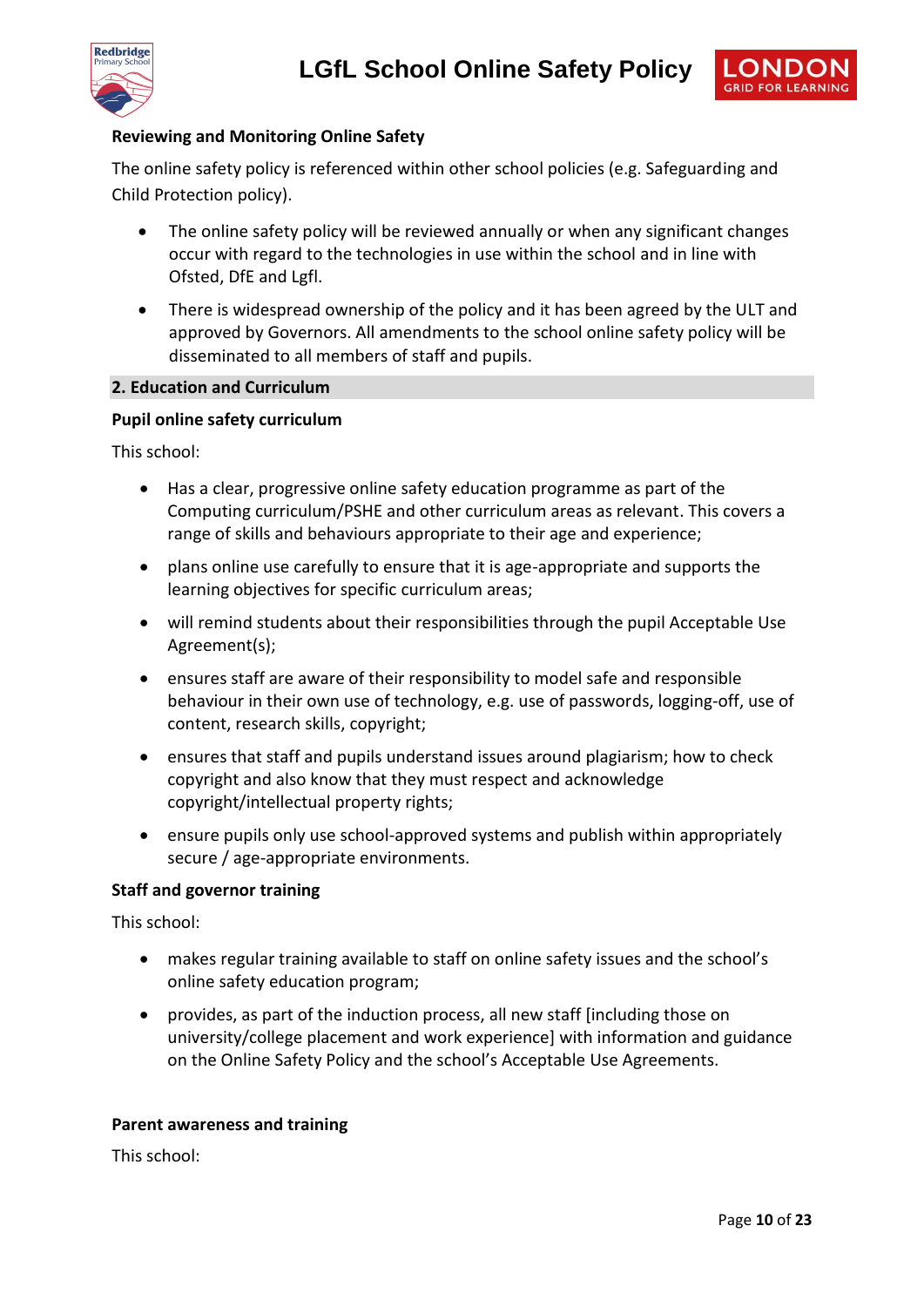



#### **Reviewing and Monitoring Online Safety**

The online safety policy is referenced within other school policies (e.g. Safeguarding and Child Protection policy).

- The online safety policy will be reviewed annually or when any significant changes occur with regard to the technologies in use within the school and in line with Ofsted, DfE and Lgfl.
- There is widespread ownership of the policy and it has been agreed by the ULT and approved by Governors. All amendments to the school online safety policy will be disseminated to all members of staff and pupils.

#### **2. Education and Curriculum**

#### **Pupil online safety curriculum**

This school:

- Has a clear, progressive online safety education programme as part of the Computing curriculum/PSHE and other curriculum areas as relevant. This covers a range of skills and behaviours appropriate to their age and experience;
- plans online use carefully to ensure that it is age-appropriate and supports the learning objectives for specific curriculum areas;
- will remind students about their responsibilities through the pupil Acceptable Use Agreement(s);
- ensures staff are aware of their responsibility to model safe and responsible behaviour in their own use of technology, e.g. use of passwords, logging-off, use of content, research skills, copyright;
- ensures that staff and pupils understand issues around plagiarism; how to check copyright and also know that they must respect and acknowledge copyright/intellectual property rights;
- ensure pupils only use school-approved systems and publish within appropriately secure / age-appropriate environments.

#### **Staff and governor training**

This school:

- makes regular training available to staff on online safety issues and the school's online safety education program;
- provides, as part of the induction process, all new staff [including those on university/college placement and work experience] with information and guidance on the Online Safety Policy and the school's Acceptable Use Agreements.

#### **Parent awareness and training**

This school: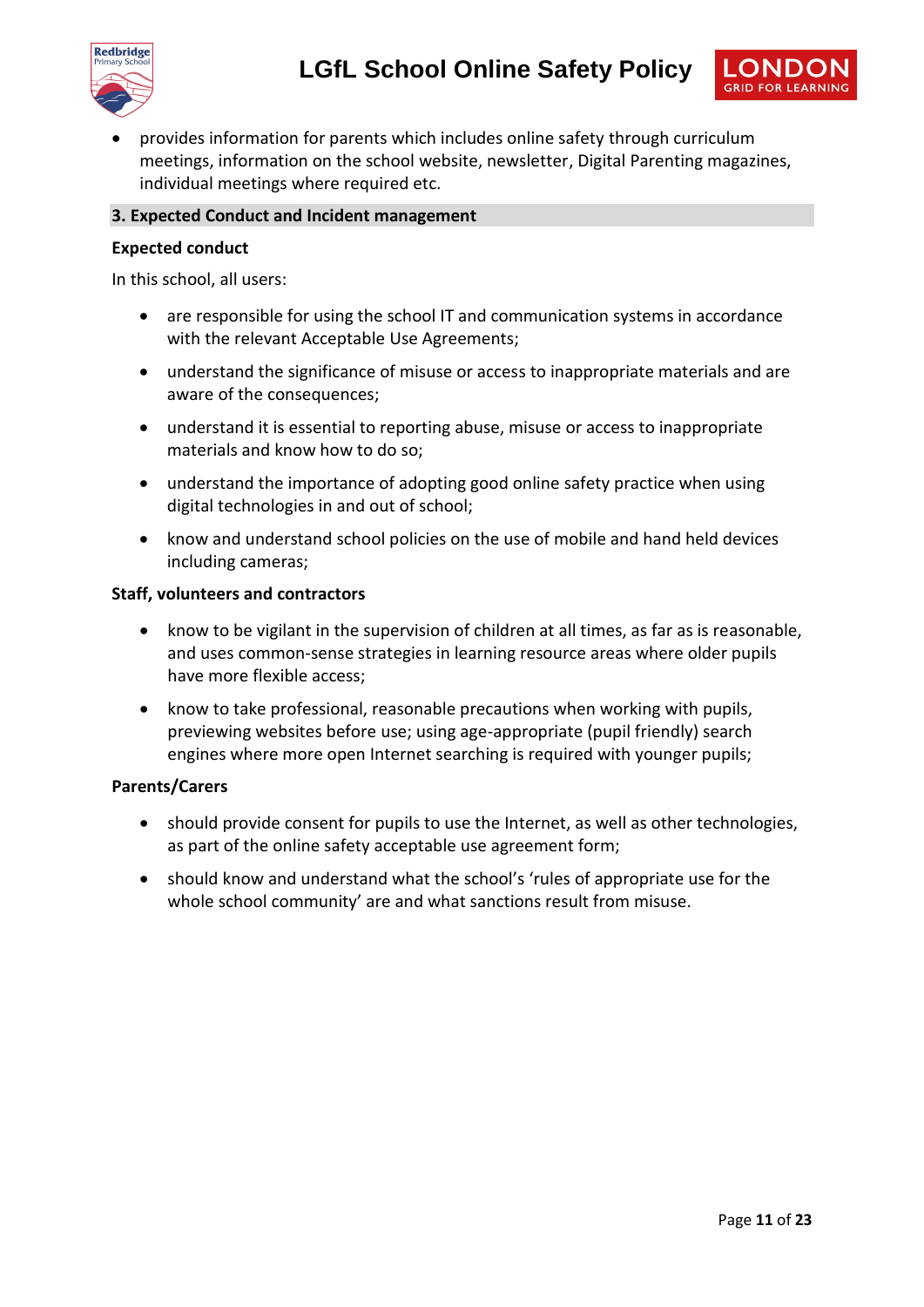



 provides information for parents which includes online safety through curriculum meetings, information on the school website, newsletter, Digital Parenting magazines, individual meetings where required etc.

#### **3. Expected Conduct and Incident management**

#### **Expected conduct**

In this school, all users:

- are responsible for using the school IT and communication systems in accordance with the relevant Acceptable Use Agreements;
- understand the significance of misuse or access to inappropriate materials and are aware of the consequences;
- understand it is essential to reporting abuse, misuse or access to inappropriate materials and know how to do so;
- understand the importance of adopting good online safety practice when using digital technologies in and out of school;
- know and understand school policies on the use of mobile and hand held devices including cameras;

#### **Staff, volunteers and contractors**

- know to be vigilant in the supervision of children at all times, as far as is reasonable, and uses common-sense strategies in learning resource areas where older pupils have more flexible access;
- know to take professional, reasonable precautions when working with pupils, previewing websites before use; using age-appropriate (pupil friendly) search engines where more open Internet searching is required with younger pupils;

#### **Parents/Carers**

- should provide consent for pupils to use the Internet, as well as other technologies, as part of the online safety acceptable use agreement form;
- should know and understand what the school's 'rules of appropriate use for the whole school community' are and what sanctions result from misuse.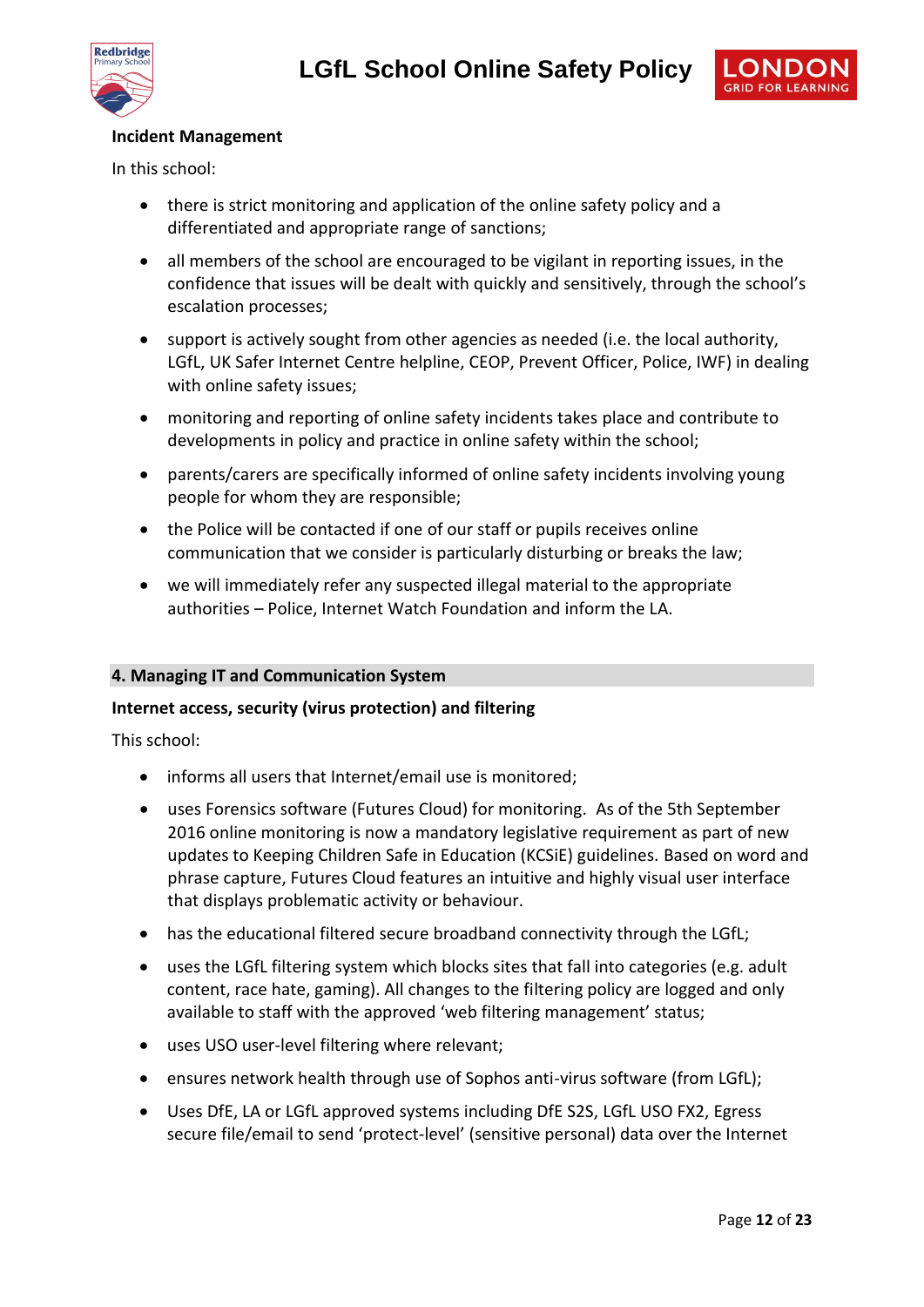

#### **Incident Management**

In this school:

- there is strict monitoring and application of the online safety policy and a differentiated and appropriate range of sanctions;
- all members of the school are encouraged to be vigilant in reporting issues, in the confidence that issues will be dealt with quickly and sensitively, through the school's escalation processes;
- support is actively sought from other agencies as needed (i.e. the local authority, LGfL, UK Safer Internet Centre helpline, CEOP, Prevent Officer, Police, IWF) in dealing with online safety issues;
- monitoring and reporting of online safety incidents takes place and contribute to developments in policy and practice in online safety within the school;
- parents/carers are specifically informed of online safety incidents involving young people for whom they are responsible;
- the Police will be contacted if one of our staff or pupils receives online communication that we consider is particularly disturbing or breaks the law;
- we will immediately refer any suspected illegal material to the appropriate authorities – Police, Internet Watch Foundation and inform the LA.

#### **4. Managing IT and Communication System**

#### **Internet access, security (virus protection) and filtering**

This school:

- informs all users that Internet/email use is monitored:
- uses Forensics software (Futures Cloud) for monitoring. As of the 5th September 2016 online monitoring is now a mandatory legislative requirement as part of new updates to Keeping Children Safe in Education (KCSiE) guidelines. Based on word and phrase capture, Futures Cloud features an intuitive and highly visual user interface that displays problematic activity or behaviour.
- has the educational filtered secure broadband connectivity through the LGfL;
- uses the LGfL filtering system which blocks sites that fall into categories (e.g. adult content, race hate, gaming). All changes to the filtering policy are logged and only available to staff with the approved 'web filtering management' status;
- uses USO user-level filtering where relevant;
- ensures network health through use of Sophos anti-virus software (from LGfL);
- Uses DfE, LA or LGfL approved systems including DfE S2S, LGfL USO FX2, Egress secure file/email to send 'protect-level' (sensitive personal) data over the Internet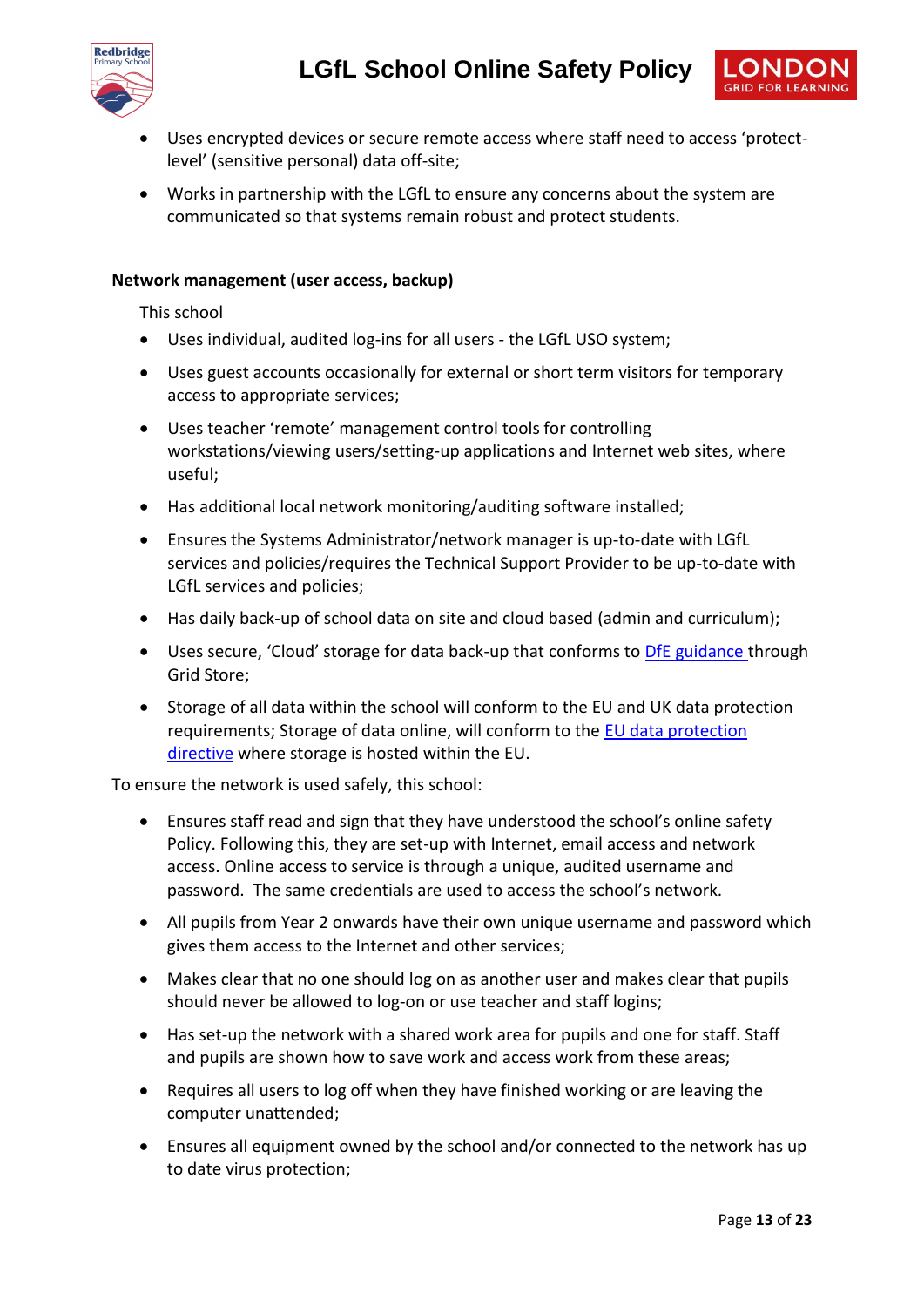



- Uses encrypted devices or secure remote access where staff need to access 'protectlevel' (sensitive personal) data off-site;
- Works in partnership with the LGfL to ensure any concerns about the system are communicated so that systems remain robust and protect students.

#### **Network management (user access, backup)**

This school

- Uses individual, audited log-ins for all users the LGfL USO system;
- Uses guest accounts occasionally for external or short term visitors for temporary access to appropriate services;
- Uses teacher 'remote' management control tools for controlling workstations/viewing users/setting-up applications and Internet web sites, where useful;
- Has additional local network monitoring/auditing software installed;
- Ensures the Systems Administrator/network manager is up-to-date with LGfL services and policies/requires the Technical Support Provider to be up-to-date with LGfL services and policies;
- Has daily back-up of school data on site and cloud based (admin and curriculum);
- Uses secure, 'Cloud' storage for data back-up that conforms to [DfE guidance](https://www.gov.uk/government/publications/cloud-software-services-and-the-data-protection-act) through Grid Store;
- Storage of all data within the school will conform to the EU and UK data protection requirements; Storage of data online, will conform to the [EU data protection](http://en.wikipedia.org/wiki/Data_Protection_Directive)  [directive](http://en.wikipedia.org/wiki/Data_Protection_Directive) where storage is hosted within the EU.

To ensure the network is used safely, this school:

- Ensures staff read and sign that they have understood the school's online safety Policy. Following this, they are set-up with Internet, email access and network access. Online access to service is through a unique, audited username and password. The same credentials are used to access the school's network.
- All pupils from Year 2 onwards have their own unique username and password which gives them access to the Internet and other services;
- Makes clear that no one should log on as another user and makes clear that pupils should never be allowed to log-on or use teacher and staff logins;
- Has set-up the network with a shared work area for pupils and one for staff. Staff and pupils are shown how to save work and access work from these areas;
- Requires all users to log off when they have finished working or are leaving the computer unattended;
- Ensures all equipment owned by the school and/or connected to the network has up to date virus protection;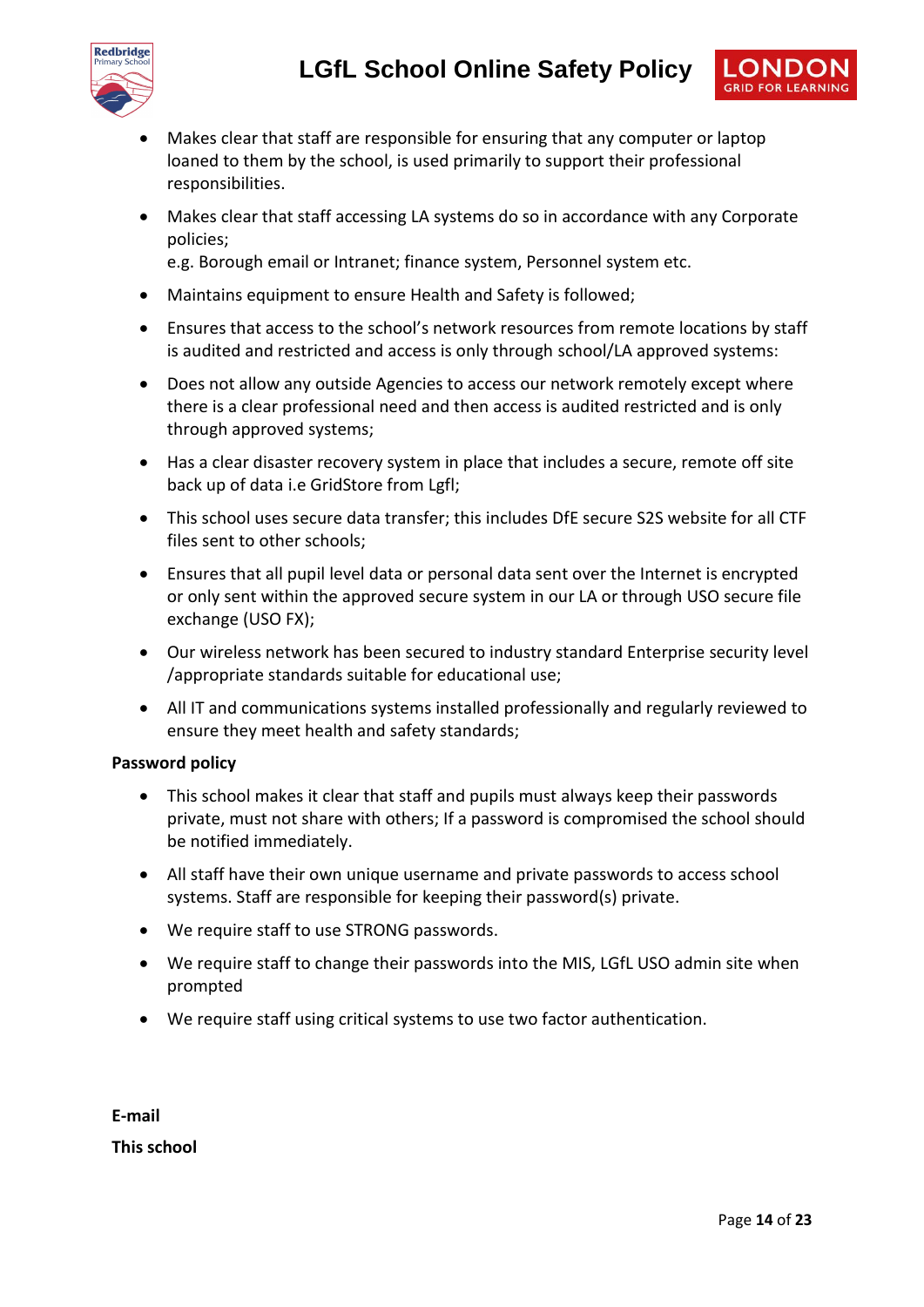



 Makes clear that staff accessing LA systems do so in accordance with any Corporate policies;

e.g. Borough email or Intranet; finance system, Personnel system etc.

- Maintains equipment to ensure Health and Safety is followed;
- Ensures that access to the school's network resources from remote locations by staff is audited and restricted and access is only through school/LA approved systems:
- Does not allow any outside Agencies to access our network remotely except where there is a clear professional need and then access is audited restricted and is only through approved systems;
- Has a clear disaster recovery system in place that includes a secure, remote off site back up of data i.e GridStore from Lgfl;
- This school uses secure data transfer; this includes DfE secure S2S website for all CTF files sent to other schools;
- Ensures that all pupil level data or personal data sent over the Internet is encrypted or only sent within the approved secure system in our LA or through USO secure file exchange (USO FX);
- Our wireless network has been secured to industry standard Enterprise security level /appropriate standards suitable for educational use;
- All IT and communications systems installed professionally and regularly reviewed to ensure they meet health and safety standards;

#### **Password policy**

- This school makes it clear that staff and pupils must always keep their passwords private, must not share with others; If a password is compromised the school should be notified immediately.
- All staff have their own unique username and private passwords to access school systems. Staff are responsible for keeping their password(s) private.
- We require staff to use STRONG passwords.
- We require staff to change their passwords into the MIS, LGfL USO admin site when prompted
- We require staff using critical systems to use two factor authentication.

**E-mail This school**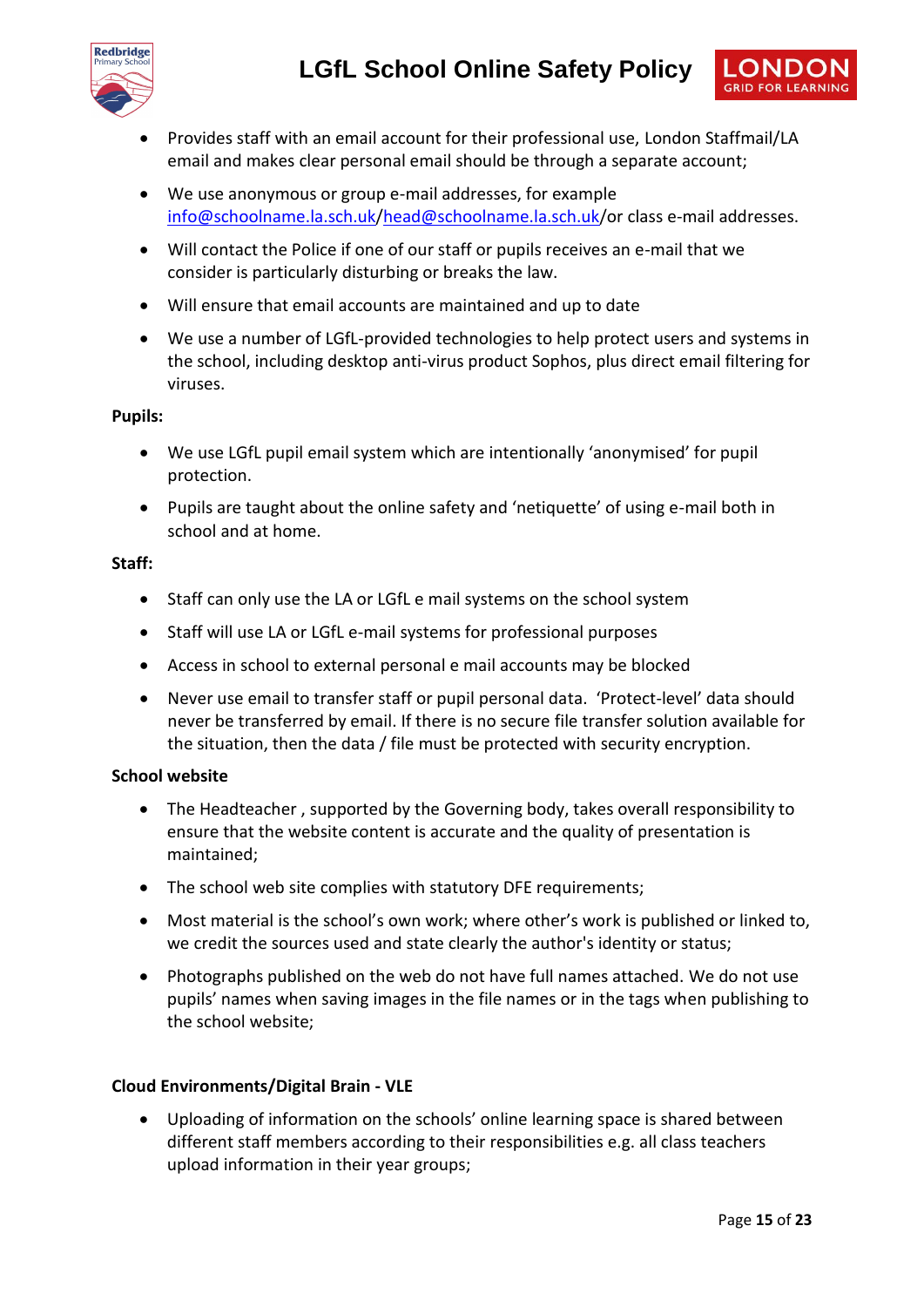



- Provides staff with an email account for their professional use, London Staffmail/LA email and makes clear personal email should be through a separate account;
- We use anonymous or group e-mail addresses, for example [info@schoolname.la.sch.uk/](mailto:info@schoolname.la.sch.uk)[head@schoolname.la.sch.uk/](mailto:head@schoolname.la.sch.uk)or class e-mail addresses.
- Will contact the Police if one of our staff or pupils receives an e-mail that we consider is particularly disturbing or breaks the law.
- Will ensure that email accounts are maintained and up to date
- We use a number of LGfL-provided technologies to help protect users and systems in the school, including desktop anti-virus product Sophos, plus direct email filtering for viruses.

#### **Pupils:**

- We use LGfL pupil email system which are intentionally 'anonymised' for pupil protection.
- Pupils are taught about the online safety and 'netiquette' of using e-mail both in school and at home.

#### **Staff:**

- Staff can only use the LA or LGfL e mail systems on the school system
- Staff will use LA or LGfL e-mail systems for professional purposes
- Access in school to external personal e mail accounts may be blocked
- Never use email to transfer staff or pupil personal data. 'Protect-level' data should never be transferred by email. If there is no secure file transfer solution available for the situation, then the data / file must be protected with security encryption.

#### **School website**

- The Headteacher , supported by the Governing body, takes overall responsibility to ensure that the website content is accurate and the quality of presentation is maintained;
- The school web site complies with statutory DFE requirements;
- Most material is the school's own work; where other's work is published or linked to, we credit the sources used and state clearly the author's identity or status;
- Photographs published on the web do not have full names attached. We do not use pupils' names when saving images in the file names or in the tags when publishing to the school website;

#### **Cloud Environments/Digital Brain - VLE**

 Uploading of information on the schools' online learning space is shared between different staff members according to their responsibilities e.g. all class teachers upload information in their year groups;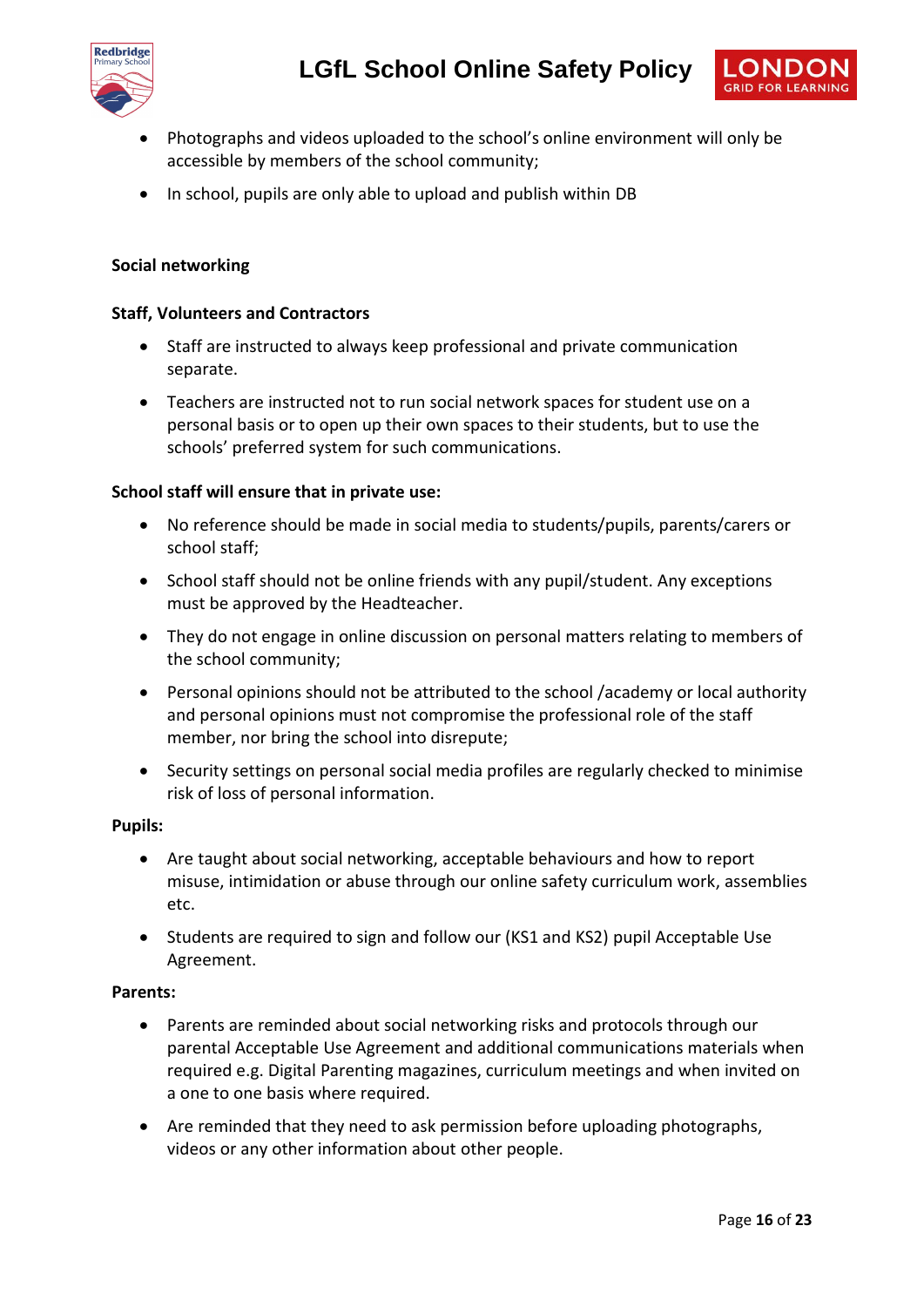



- Photographs and videos uploaded to the school's online environment will only be accessible by members of the school community;
- In school, pupils are only able to upload and publish within DB

#### **Social networking**

#### **Staff, Volunteers and Contractors**

- Staff are instructed to always keep professional and private communication separate.
- Teachers are instructed not to run social network spaces for student use on a personal basis or to open up their own spaces to their students, but to use the schools' preferred system for such communications.

#### **School staff will ensure that in private use:**

- No reference should be made in social media to students/pupils, parents/carers or school staff;
- School staff should not be online friends with any pupil/student. Any exceptions must be approved by the Headteacher.
- They do not engage in online discussion on personal matters relating to members of the school community;
- Personal opinions should not be attributed to the school /academy or local authority and personal opinions must not compromise the professional role of the staff member, nor bring the school into disrepute;
- Security settings on personal social media profiles are regularly checked to minimise risk of loss of personal information.

#### **Pupils:**

- Are taught about social networking, acceptable behaviours and how to report misuse, intimidation or abuse through our online safety curriculum work, assemblies etc.
- Students are required to sign and follow our (KS1 and KS2) pupil Acceptable Use Agreement.

#### **Parents:**

- Parents are reminded about social networking risks and protocols through our parental Acceptable Use Agreement and additional communications materials when required e.g. Digital Parenting magazines, curriculum meetings and when invited on a one to one basis where required.
- Are reminded that they need to ask permission before uploading photographs, videos or any other information about other people.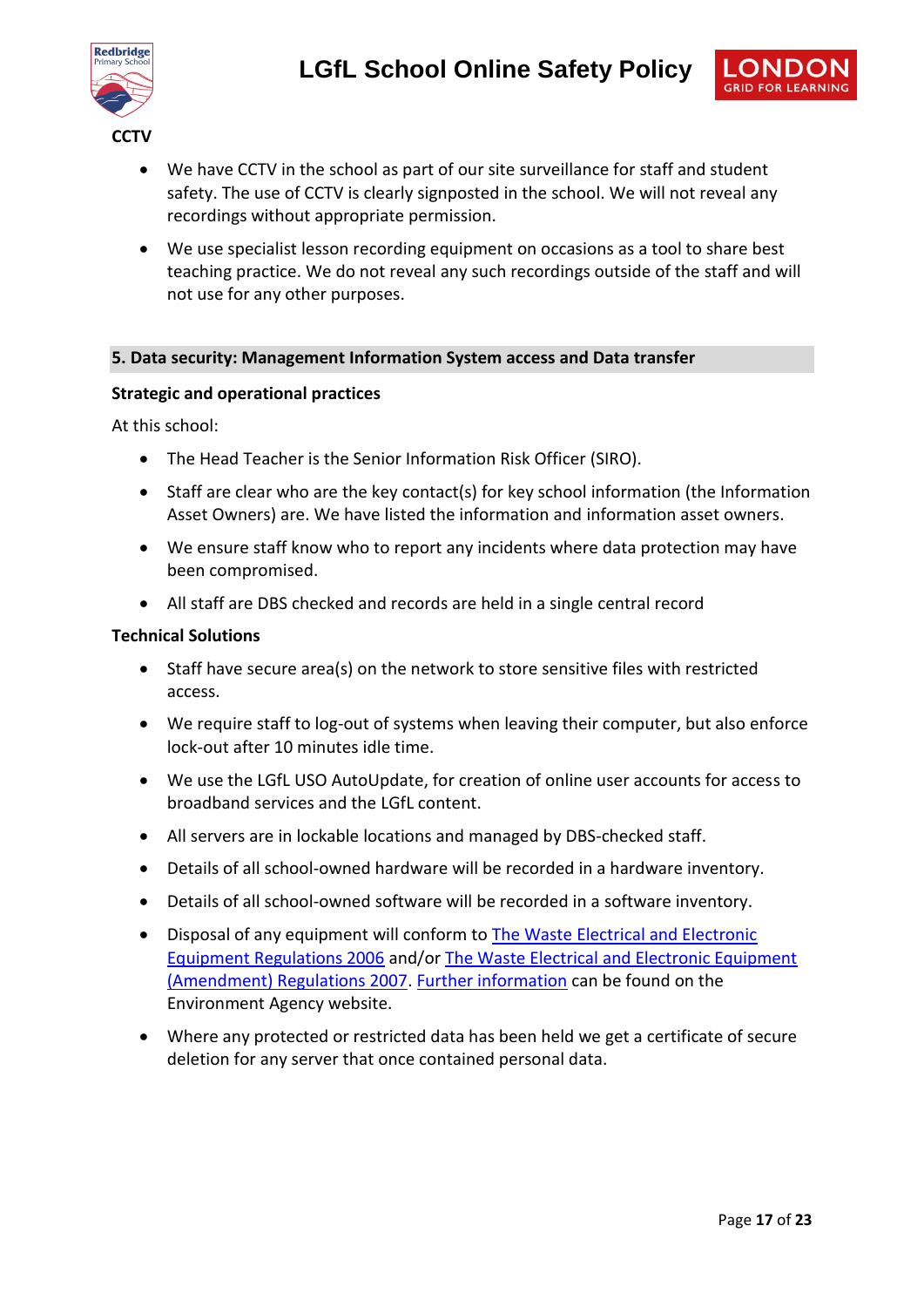

- We have CCTV in the school as part of our site surveillance for staff and student safety. The use of CCTV is clearly signposted in the school. We will not reveal any recordings without appropriate permission.
- We use specialist lesson recording equipment on occasions as a tool to share best teaching practice. We do not reveal any such recordings outside of the staff and will not use for any other purposes.

#### **5. Data security: Management Information System access and Data transfer**

#### **Strategic and operational practices**

At this school:

- The Head Teacher is the Senior Information Risk Officer (SIRO).
- Staff are clear who are the key contact(s) for key school information (the Information Asset Owners) are. We have listed the information and information asset owners.
- We ensure staff know who to report any incidents where data protection may have been compromised.
- All staff are DBS checked and records are held in a single central record

#### **Technical Solutions**

- Staff have secure area(s) on the network to store sensitive files with restricted access.
- We require staff to log-out of systems when leaving their computer, but also enforce lock-out after 10 minutes idle time.
- We use the LGfL USO AutoUpdate, for creation of online user accounts for access to broadband services and the LGfL content.
- All servers are in lockable locations and managed by DBS-checked staff.
- Details of all school-owned hardware will be recorded in a hardware inventory.
- Details of all school-owned software will be recorded in a software inventory.
- Disposal of any equipment will conform to [The Waste Electrical and Electronic](http://www.legislation.gov.uk/uksi/2006/3289/pdfs/uksi_20063289_en.pdf)  [Equipment Regulations 2006](http://www.legislation.gov.uk/uksi/2006/3289/pdfs/uksi_20063289_en.pdf) and/or [The Waste Electrical and Electronic Equipment](http://www.legislation.gov.uk/uksi/2007/3454/pdfs/uksi_20073454_en.pdf)  [\(Amendment\) Regulations 2007.](http://www.legislation.gov.uk/uksi/2007/3454/pdfs/uksi_20073454_en.pdf) [Further information](http://www.environment-agency.gov.uk/business/topics/waste/32084.aspx) can be found on the Environment Agency website.
- Where any protected or restricted data has been held we get a certificate of secure deletion for any server that once contained personal data.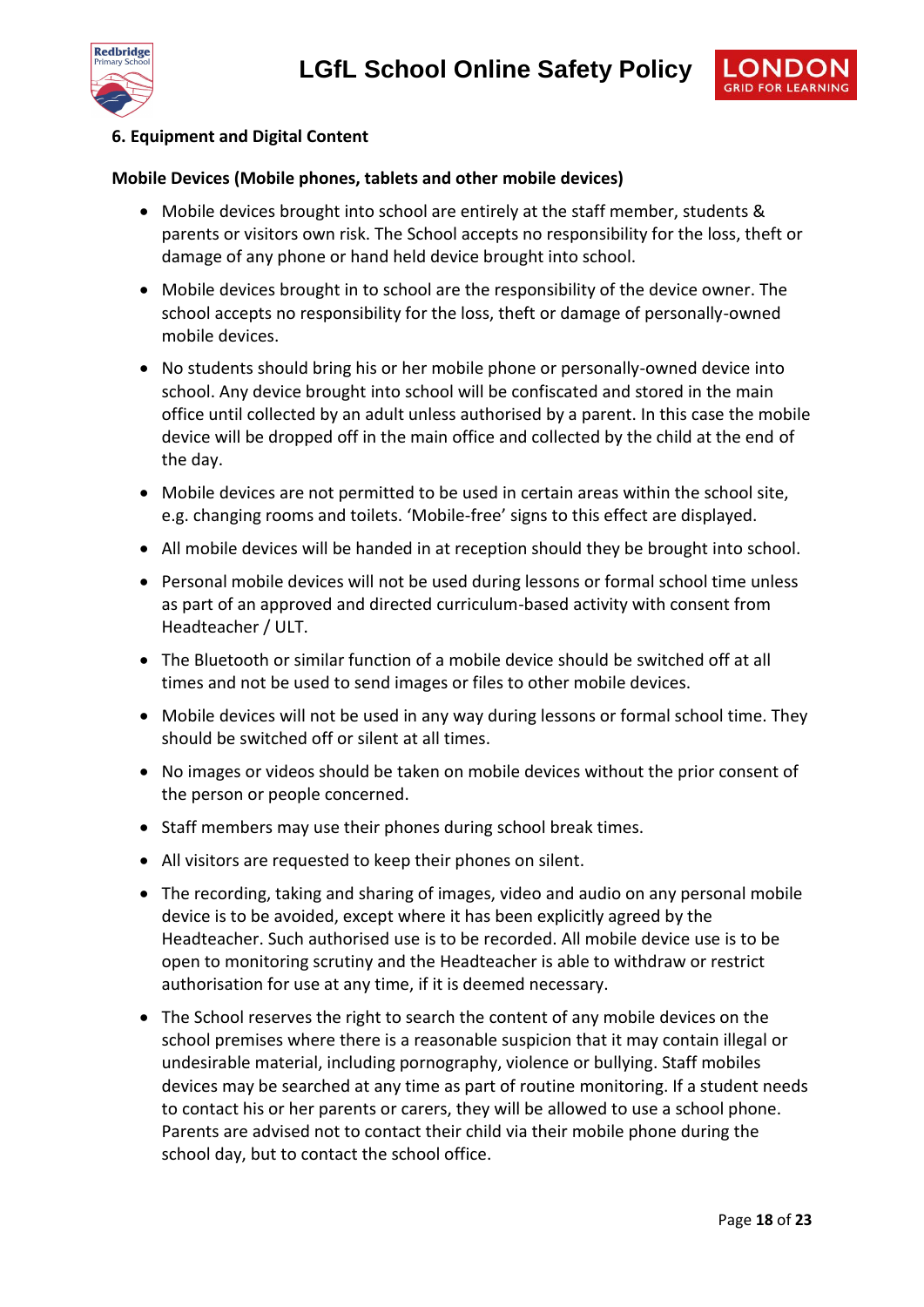



#### **6. Equipment and Digital Content**

#### **Mobile Devices (Mobile phones, tablets and other mobile devices)**

- Mobile devices brought into school are entirely at the staff member, students & parents or visitors own risk. The School accepts no responsibility for the loss, theft or damage of any phone or hand held device brought into school.
- Mobile devices brought in to school are the responsibility of the device owner. The school accepts no responsibility for the loss, theft or damage of personally-owned mobile devices.
- No students should bring his or her mobile phone or personally-owned device into school. Any device brought into school will be confiscated and stored in the main office until collected by an adult unless authorised by a parent. In this case the mobile device will be dropped off in the main office and collected by the child at the end of the day.
- Mobile devices are not permitted to be used in certain areas within the school site, e.g. changing rooms and toilets. 'Mobile-free' signs to this effect are displayed.
- All mobile devices will be handed in at reception should they be brought into school.
- Personal mobile devices will not be used during lessons or formal school time unless as part of an approved and directed curriculum-based activity with consent from Headteacher / ULT.
- The Bluetooth or similar function of a mobile device should be switched off at all times and not be used to send images or files to other mobile devices.
- Mobile devices will not be used in any way during lessons or formal school time. They should be switched off or silent at all times.
- No images or videos should be taken on mobile devices without the prior consent of the person or people concerned.
- Staff members may use their phones during school break times.
- All visitors are requested to keep their phones on silent.
- The recording, taking and sharing of images, video and audio on any personal mobile device is to be avoided, except where it has been explicitly agreed by the Headteacher. Such authorised use is to be recorded. All mobile device use is to be open to monitoring scrutiny and the Headteacher is able to withdraw or restrict authorisation for use at any time, if it is deemed necessary.
- The School reserves the right to search the content of any mobile devices on the school premises where there is a reasonable suspicion that it may contain illegal or undesirable material, including pornography, violence or bullying. Staff mobiles devices may be searched at any time as part of routine monitoring. If a student needs to contact his or her parents or carers, they will be allowed to use a school phone. Parents are advised not to contact their child via their mobile phone during the school day, but to contact the school office.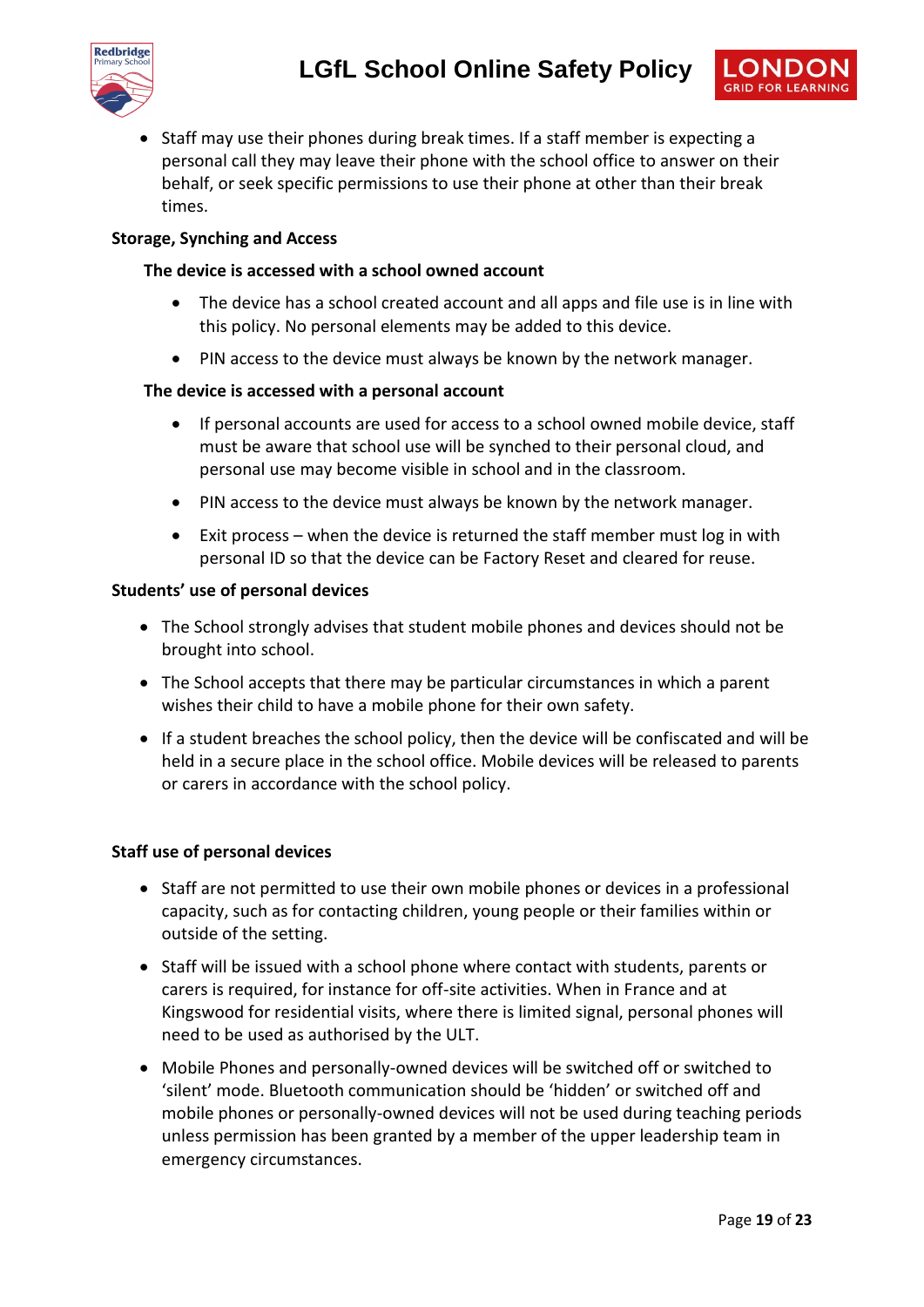



• Staff may use their phones during break times. If a staff member is expecting a personal call they may leave their phone with the school office to answer on their behalf, or seek specific permissions to use their phone at other than their break times.

#### **Storage, Synching and Access**

#### **The device is accessed with a school owned account**

- The device has a school created account and all apps and file use is in line with this policy. No personal elements may be added to this device.
- PIN access to the device must always be known by the network manager.

#### **The device is accessed with a personal account**

- If personal accounts are used for access to a school owned mobile device, staff must be aware that school use will be synched to their personal cloud, and personal use may become visible in school and in the classroom.
- PIN access to the device must always be known by the network manager.
- Exit process when the device is returned the staff member must log in with personal ID so that the device can be Factory Reset and cleared for reuse.

#### **Students' use of personal devices**

- The School strongly advises that student mobile phones and devices should not be brought into school.
- The School accepts that there may be particular circumstances in which a parent wishes their child to have a mobile phone for their own safety.
- If a student breaches the school policy, then the device will be confiscated and will be held in a secure place in the school office. Mobile devices will be released to parents or carers in accordance with the school policy.

#### **Staff use of personal devices**

- Staff are not permitted to use their own mobile phones or devices in a professional capacity, such as for contacting children, young people or their families within or outside of the setting.
- Staff will be issued with a school phone where contact with students, parents or carers is required, for instance for off-site activities. When in France and at Kingswood for residential visits, where there is limited signal, personal phones will need to be used as authorised by the ULT.
- Mobile Phones and personally-owned devices will be switched off or switched to 'silent' mode. Bluetooth communication should be 'hidden' or switched off and mobile phones or personally-owned devices will not be used during teaching periods unless permission has been granted by a member of the upper leadership team in emergency circumstances.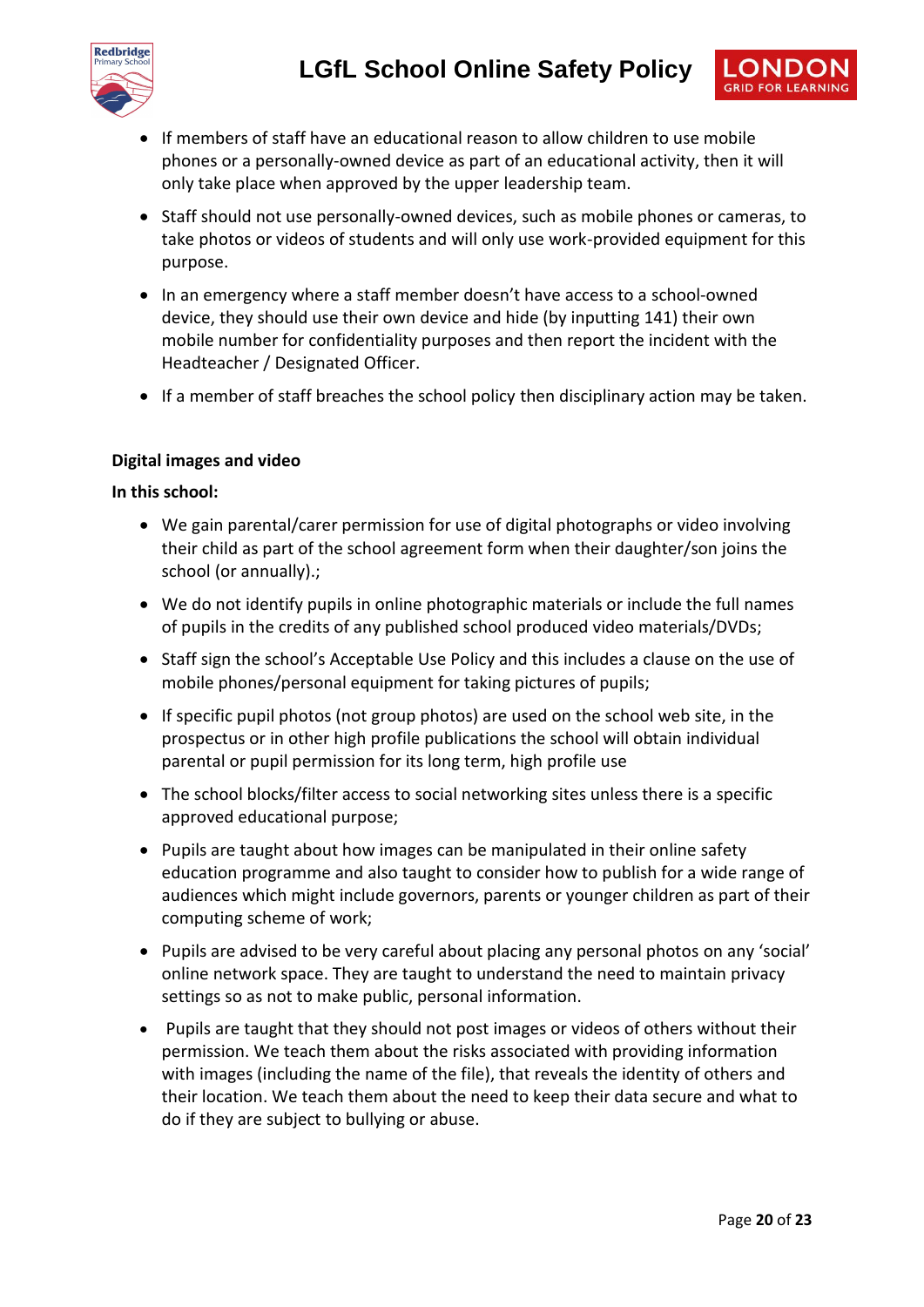

- If members of staff have an educational reason to allow children to use mobile phones or a personally-owned device as part of an educational activity, then it will only take place when approved by the upper leadership team.
- Staff should not use personally-owned devices, such as mobile phones or cameras, to take photos or videos of students and will only use work-provided equipment for this purpose.
- In an emergency where a staff member doesn't have access to a school-owned device, they should use their own device and hide (by inputting 141) their own mobile number for confidentiality purposes and then report the incident with the Headteacher / Designated Officer.
- If a member of staff breaches the school policy then disciplinary action may be taken.

#### **Digital images and video**

#### **In this school:**

- We gain parental/carer permission for use of digital photographs or video involving their child as part of the school agreement form when their daughter/son joins the school (or annually).;
- We do not identify pupils in online photographic materials or include the full names of pupils in the credits of any published school produced video materials/DVDs;
- Staff sign the school's Acceptable Use Policy and this includes a clause on the use of mobile phones/personal equipment for taking pictures of pupils;
- If specific pupil photos (not group photos) are used on the school web site, in the prospectus or in other high profile publications the school will obtain individual parental or pupil permission for its long term, high profile use
- The school blocks/filter access to social networking sites unless there is a specific approved educational purpose;
- Pupils are taught about how images can be manipulated in their online safety education programme and also taught to consider how to publish for a wide range of audiences which might include governors, parents or younger children as part of their computing scheme of work;
- Pupils are advised to be very careful about placing any personal photos on any 'social' online network space. They are taught to understand the need to maintain privacy settings so as not to make public, personal information.
- Pupils are taught that they should not post images or videos of others without their permission. We teach them about the risks associated with providing information with images (including the name of the file), that reveals the identity of others and their location. We teach them about the need to keep their data secure and what to do if they are subject to bullying or abuse.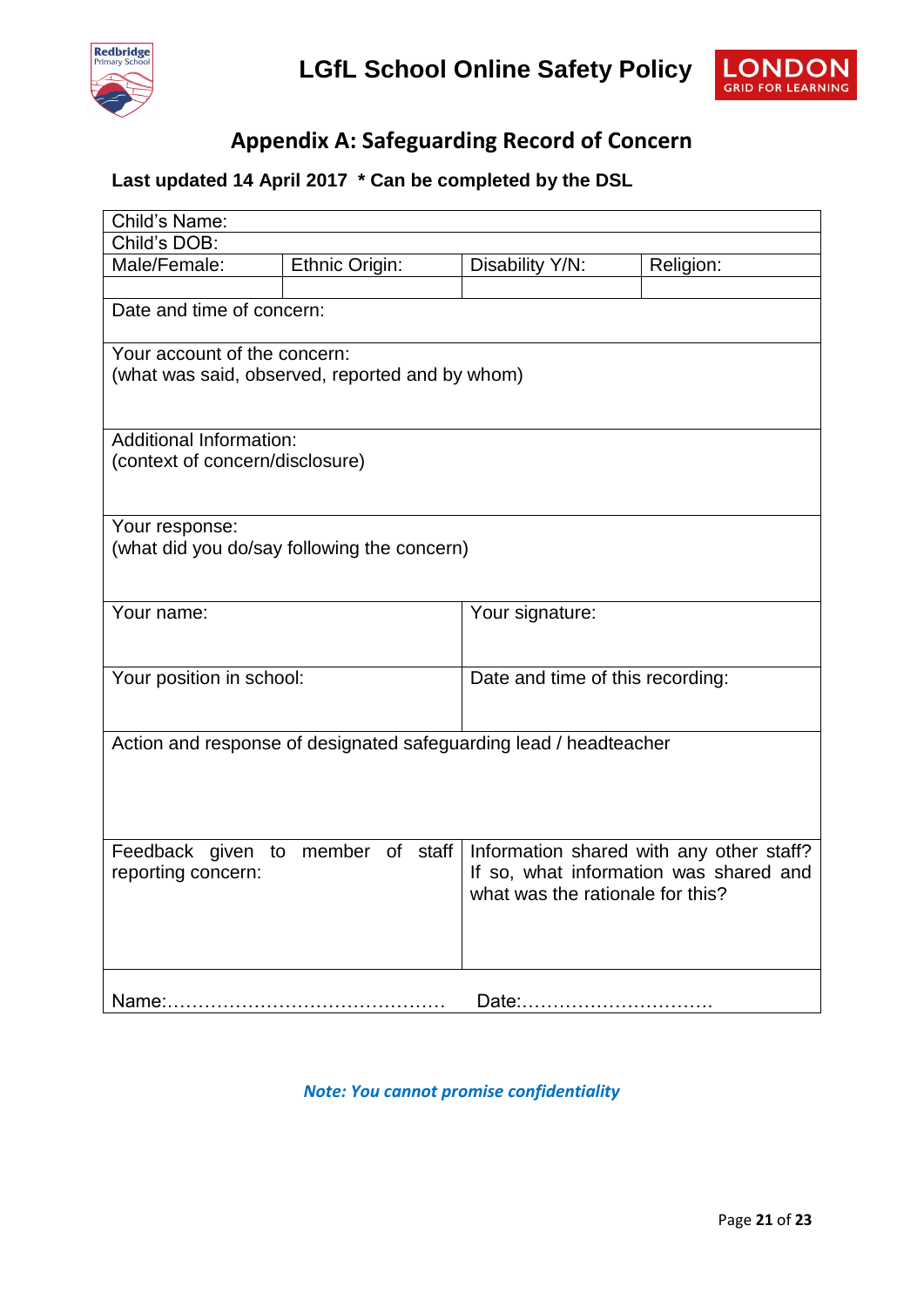



## **Appendix A: Safeguarding Record of Concern**

## **Last updated 14 April 2017 \* Can be completed by the DSL**

| Child's Name:                                                                   |                                   |                                  |                                                                                    |  |  |
|---------------------------------------------------------------------------------|-----------------------------------|----------------------------------|------------------------------------------------------------------------------------|--|--|
| Child's DOB:                                                                    |                                   |                                  |                                                                                    |  |  |
| Male/Female:                                                                    | Ethnic Origin:                    | Disability Y/N:                  | Religion:                                                                          |  |  |
|                                                                                 |                                   |                                  |                                                                                    |  |  |
| Date and time of concern:                                                       |                                   |                                  |                                                                                    |  |  |
| Your account of the concern:<br>(what was said, observed, reported and by whom) |                                   |                                  |                                                                                    |  |  |
| <b>Additional Information:</b><br>(context of concern/disclosure)               |                                   |                                  |                                                                                    |  |  |
| Your response:<br>(what did you do/say following the concern)                   |                                   |                                  |                                                                                    |  |  |
| Your name:                                                                      |                                   | Your signature:                  |                                                                                    |  |  |
| Your position in school:                                                        |                                   | Date and time of this recording: |                                                                                    |  |  |
| Action and response of designated safeguarding lead / headteacher               |                                   |                                  |                                                                                    |  |  |
| reporting concern:                                                              | Feedback given to member of staff | what was the rationale for this? | Information shared with any other staff?<br>If so, what information was shared and |  |  |
|                                                                                 |                                   |                                  |                                                                                    |  |  |

*Note: You cannot promise confidentiality*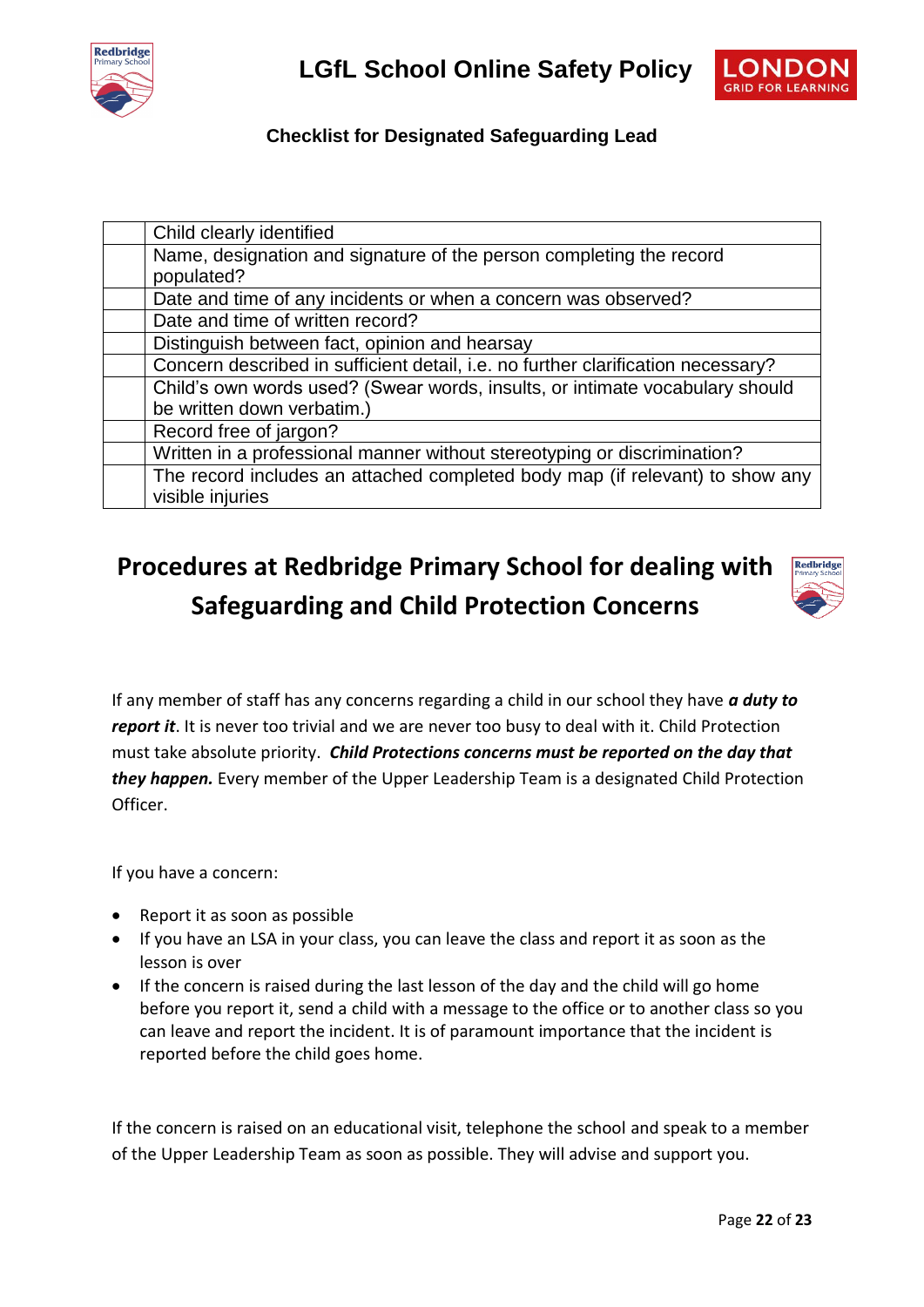



## **Checklist for Designated Safeguarding Lead**

| Child clearly identified                                                         |
|----------------------------------------------------------------------------------|
| Name, designation and signature of the person completing the record              |
| populated?                                                                       |
| Date and time of any incidents or when a concern was observed?                   |
| Date and time of written record?                                                 |
| Distinguish between fact, opinion and hearsay                                    |
| Concern described in sufficient detail, i.e. no further clarification necessary? |
| Child's own words used? (Swear words, insults, or intimate vocabulary should     |
| be written down verbatim.)                                                       |
| Record free of jargon?                                                           |
| Written in a professional manner without stereotyping or discrimination?         |
| The record includes an attached completed body map (if relevant) to show any     |
| visible injuries                                                                 |

# **Procedures at Redbridge Primary School for dealing with Safeguarding and Child Protection Concerns**



If any member of staff has any concerns regarding a child in our school they have *a duty to report it*. It is never too trivial and we are never too busy to deal with it. Child Protection must take absolute priority. *Child Protections concerns must be reported on the day that they happen.* Every member of the Upper Leadership Team is a designated Child Protection Officer.

If you have a concern:

- Report it as soon as possible
- If you have an LSA in your class, you can leave the class and report it as soon as the lesson is over
- If the concern is raised during the last lesson of the day and the child will go home before you report it, send a child with a message to the office or to another class so you can leave and report the incident. It is of paramount importance that the incident is reported before the child goes home.

If the concern is raised on an educational visit, telephone the school and speak to a member of the Upper Leadership Team as soon as possible. They will advise and support you.